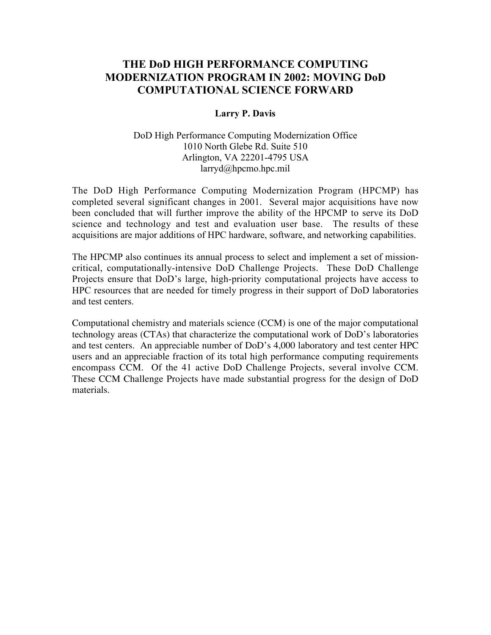# **THE DoD HIGH PERFORMANCE COMPUTING MODERNIZATION PROGRAM IN 2002: MOVING DoD COMPUTATIONAL SCIENCE FORWARD**

#### **Larry P. Davis**

### DoD High Performance Computing Modernization Office 1010 North Glebe Rd. Suite 510 Arlington, VA 22201-4795 USA larryd@hpcmo.hpc.mil

The DoD High Performance Computing Modernization Program (HPCMP) has completed several significant changes in 2001. Several major acquisitions have now been concluded that will further improve the ability of the HPCMP to serve its DoD science and technology and test and evaluation user base. The results of these acquisitions are major additions of HPC hardware, software, and networking capabilities.

The HPCMP also continues its annual process to select and implement a set of missioncritical, computationally-intensive DoD Challenge Projects. These DoD Challenge Projects ensure that DoD's large, high-priority computational projects have access to HPC resources that are needed for timely progress in their support of DoD laboratories and test centers.

Computational chemistry and materials science (CCM) is one of the major computational technology areas (CTAs) that characterize the computational work of DoD's laboratories and test centers. An appreciable number of DoD's 4,000 laboratory and test center HPC users and an appreciable fraction of its total high performance computing requirements encompass CCM. Of the 41 active DoD Challenge Projects, several involve CCM. These CCM Challenge Projects have made substantial progress for the design of DoD materials.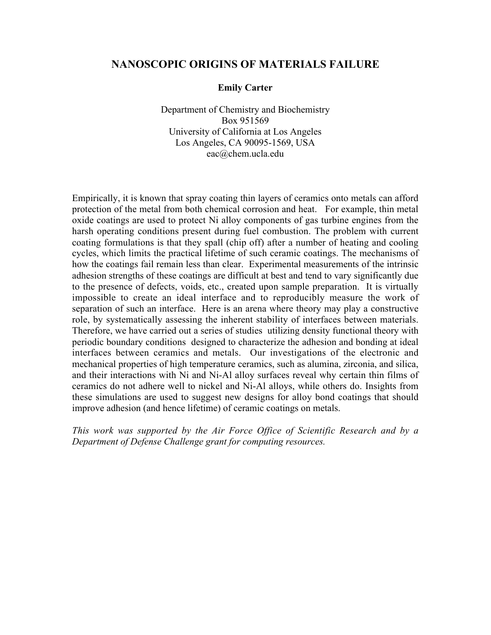### **NANOSCOPIC ORIGINS OF MATERIALS FAILURE**

### **Emily Carter**

Department of Chemistry and Biochemistry Box 951569 University of California at Los Angeles Los Angeles, CA 90095-1569, USA eac@chem.ucla.edu

Empirically, it is known that spray coating thin layers of ceramics onto metals can afford protection of the metal from both chemical corrosion and heat. For example, thin metal oxide coatings are used to protect Ni alloy components of gas turbine engines from the harsh operating conditions present during fuel combustion. The problem with current coating formulations is that they spall (chip off) after a number of heating and cooling cycles, which limits the practical lifetime of such ceramic coatings. The mechanisms of how the coatings fail remain less than clear. Experimental measurements of the intrinsic adhesion strengths of these coatings are difficult at best and tend to vary significantly due to the presence of defects, voids, etc., created upon sample preparation. It is virtually impossible to create an ideal interface and to reproducibly measure the work of separation of such an interface. Here is an arena where theory may play a constructive role, by systematically assessing the inherent stability of interfaces between materials. Therefore, we have carried out a series of studies utilizing density functional theory with periodic boundary conditions designed to characterize the adhesion and bonding at ideal interfaces between ceramics and metals. Our investigations of the electronic and mechanical properties of high temperature ceramics, such as alumina, zirconia, and silica, and their interactions with Ni and Ni-Al alloy surfaces reveal why certain thin films of ceramics do not adhere well to nickel and Ni-Al alloys, while others do. Insights from these simulations are used to suggest new designs for alloy bond coatings that should improve adhesion (and hence lifetime) of ceramic coatings on metals.

*This work was supported by the Air Force Office of Scientific Research and by a Department of Defense Challenge grant for computing resources.*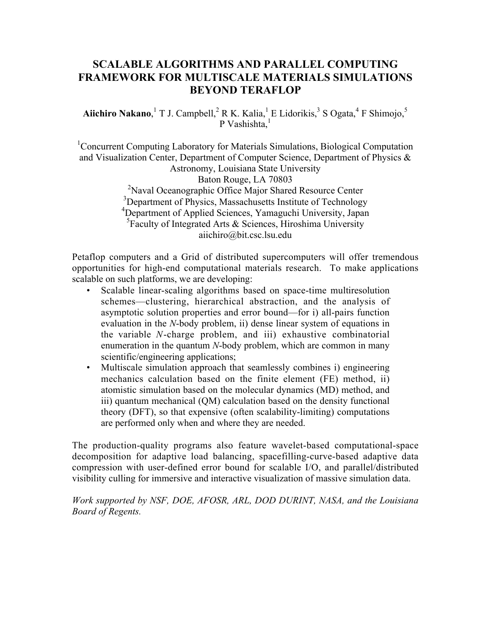# **SCALABLE ALGORITHMS AND PARALLEL COMPUTING FRAMEWORK FOR MULTISCALE MATERIALS SIMULATIONS BEYOND TERAFLOP**

**Aiichiro Nakano**,<sup>1</sup> T J. Campbell,<sup>2</sup> R K. Kalia,<sup>1</sup> E Lidorikis,<sup>3</sup> S Ogata,<sup>4</sup> F Shimojo,<sup>5</sup> P Vashishta. $<sup>1</sup>$ </sup>

<sup>1</sup> Concurrent Computing Laboratory for Materials Simulations, Biological Computation and Visualization Center, Department of Computer Science, Department of Physics & Astronomy, Louisiana State University Baton Rouge, LA 70803 <sup>2</sup>Naval Oceanographic Office Major Shared Resource Center <sup>3</sup>Department of Physics, Massachusetts Institute of Technology <sup>4</sup>Department of Applied Sciences, Yamaguchi University, Japan <sup>5</sup>Faculty of Integrated Arts & Sciences, Hiroshima University aiichiro@bit.csc.lsu.edu

Petaflop computers and a Grid of distributed supercomputers will offer tremendous opportunities for high-end computational materials research. To make applications scalable on such platforms, we are developing:

- Scalable linear-scaling algorithms based on space-time multiresolution schemes—clustering, hierarchical abstraction, and the analysis of asymptotic solution properties and error bound—for i) all-pairs function evaluation in the *N*-body problem, ii) dense linear system of equations in the variable *N*-charge problem, and iii) exhaustive combinatorial enumeration in the quantum *N*-body problem, which are common in many scientific/engineering applications;
- Multiscale simulation approach that seamlessly combines i) engineering mechanics calculation based on the finite element (FE) method, ii) atomistic simulation based on the molecular dynamics (MD) method, and iii) quantum mechanical (QM) calculation based on the density functional theory (DFT), so that expensive (often scalability-limiting) computations are performed only when and where they are needed.

The production-quality programs also feature wavelet-based computational-space decomposition for adaptive load balancing, spacefilling-curve-based adaptive data compression with user-defined error bound for scalable I/O, and parallel/distributed visibility culling for immersive and interactive visualization of massive simulation data.

*Work supported by NSF, DOE, AFOSR, ARL, DOD DURINT, NASA, and the Louisiana Board of Regents.*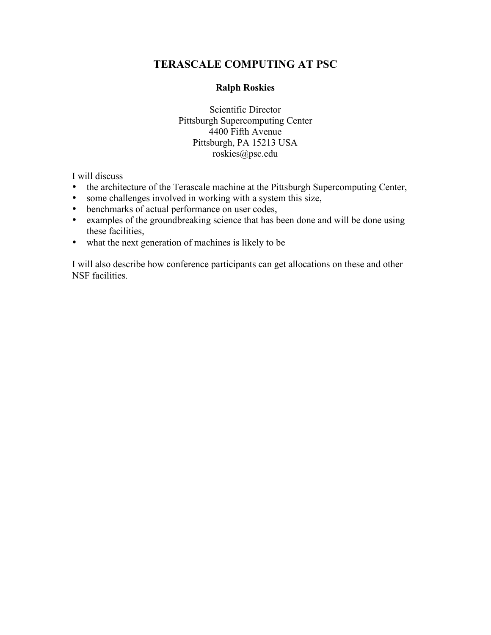# **TERASCALE COMPUTING AT PSC**

### **Ralph Roskies**

Scientific Director Pittsburgh Supercomputing Center 4400 Fifth Avenue Pittsburgh, PA 15213 USA roskies@psc.edu

I will discuss

the architecture of the Terascale machine at the Pittsburgh Supercomputing Center, some challenges involved in working with a system this size, benchmarks of actual performance on user codes, examples of the groundbreaking science that has been done and will be done using these facilities, what the next generation of machines is likely to be

I will also describe how conference participants can get allocations on these and other NSF facilities.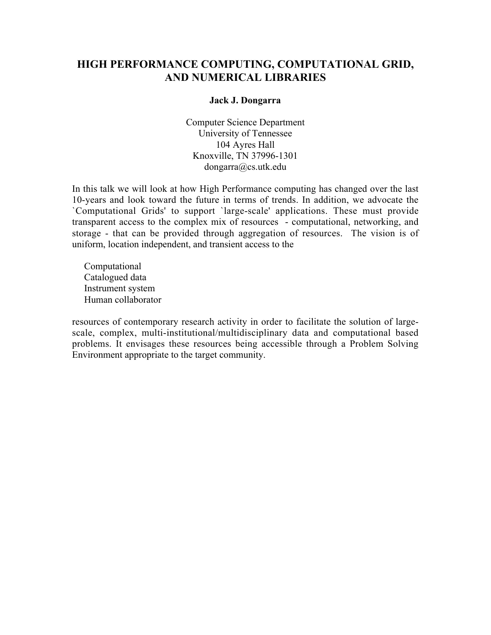# **HIGH PERFORMANCE COMPUTING, COMPUTATIONAL GRID, AND NUMERICAL LIBRARIES**

### **Jack J. Dongarra**

Computer Science Department University of Tennessee 104 Ayres Hall Knoxville, TN 37996-1301 dongarra@cs.utk.edu

In this talk we will look at how High Performance computing has changed over the last 10-years and look toward the future in terms of trends. In addition, we advocate the `Computational Grids' to support `large-scale' applications. These must provide transparent access to the complex mix of resources - computational, networking, and storage - that can be provided through aggregation of resources. The vision is of uniform, location independent, and transient access to the

 Computational Catalogued data Instrument system Human collaborator

resources of contemporary research activity in order to facilitate the solution of largescale, complex, multi-institutional/multidisciplinary data and computational based problems. It envisages these resources being accessible through a Problem Solving Environment appropriate to the target community.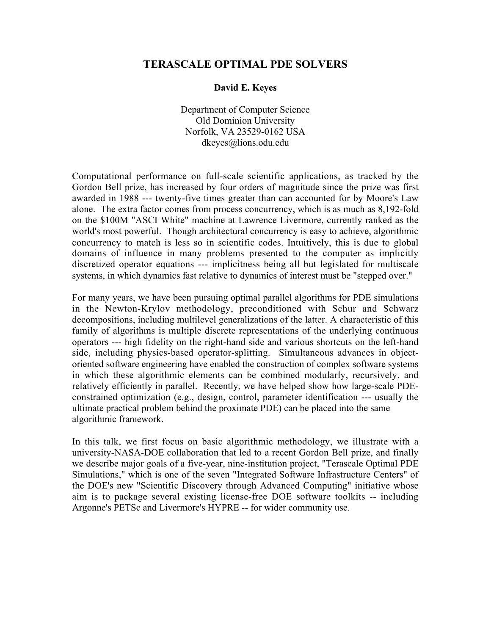### **TERASCALE OPTIMAL PDE SOLVERS**

#### **David E. Keyes**

Department of Computer Science Old Dominion University Norfolk, VA 23529-0162 USA dkeyes@lions.odu.edu

Computational performance on full-scale scientific applications, as tracked by the Gordon Bell prize, has increased by four orders of magnitude since the prize was first awarded in 1988 --- twenty-five times greater than can accounted for by Moore's Law alone. The extra factor comes from process concurrency, which is as much as 8,192-fold on the \$100M "ASCI White" machine at Lawrence Livermore, currently ranked as the world's most powerful. Though architectural concurrency is easy to achieve, algorithmic concurrency to match is less so in scientific codes. Intuitively, this is due to global domains of influence in many problems presented to the computer as implicitly discretized operator equations --- implicitness being all but legislated for multiscale systems, in which dynamics fast relative to dynamics of interest must be "stepped over."

For many years, we have been pursuing optimal parallel algorithms for PDE simulations in the Newton-Krylov methodology, preconditioned with Schur and Schwarz decompositions, including multilevel generalizations of the latter. A characteristic of this family of algorithms is multiple discrete representations of the underlying continuous operators --- high fidelity on the right-hand side and various shortcuts on the left-hand side, including physics-based operator-splitting. Simultaneous advances in objectoriented software engineering have enabled the construction of complex software systems in which these algorithmic elements can be combined modularly, recursively, and relatively efficiently in parallel. Recently, we have helped show how large-scale PDEconstrained optimization (e.g., design, control, parameter identification --- usually the ultimate practical problem behind the proximate PDE) can be placed into the same algorithmic framework.

In this talk, we first focus on basic algorithmic methodology, we illustrate with a university-NASA-DOE collaboration that led to a recent Gordon Bell prize, and finally we describe major goals of a five-year, nine-institution project, "Terascale Optimal PDE Simulations," which is one of the seven "Integrated Software Infrastructure Centers" of the DOE's new "Scientific Discovery through Advanced Computing" initiative whose aim is to package several existing license-free DOE software toolkits -- including Argonne's PETSc and Livermore's HYPRE -- for wider community use.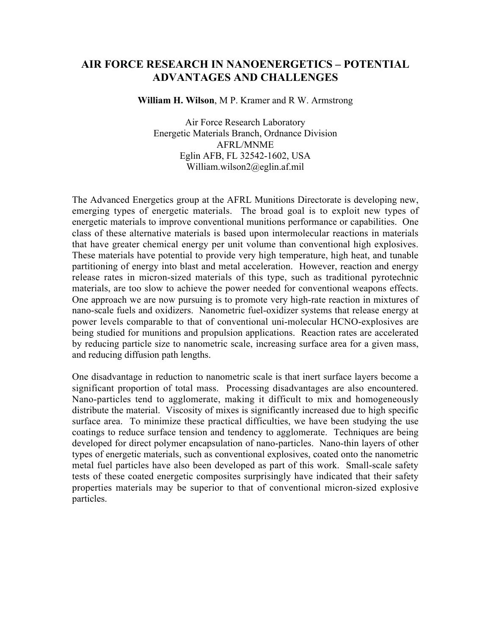## **AIR FORCE RESEARCH IN NANOENERGETICS – POTENTIAL ADVANTAGES AND CHALLENGES**

**William H. Wilson**, M P. Kramer and R W. Armstrong

Air Force Research Laboratory Energetic Materials Branch, Ordnance Division AFRL/MNME Eglin AFB, FL 32542-1602, USA William.wilson2@eglin.af.mil

The Advanced Energetics group at the AFRL Munitions Directorate is developing new, emerging types of energetic materials. The broad goal is to exploit new types of energetic materials to improve conventional munitions performance or capabilities. One class of these alternative materials is based upon intermolecular reactions in materials that have greater chemical energy per unit volume than conventional high explosives. These materials have potential to provide very high temperature, high heat, and tunable partitioning of energy into blast and metal acceleration. However, reaction and energy release rates in micron-sized materials of this type, such as traditional pyrotechnic materials, are too slow to achieve the power needed for conventional weapons effects. One approach we are now pursuing is to promote very high-rate reaction in mixtures of nano-scale fuels and oxidizers. Nanometric fuel-oxidizer systems that release energy at power levels comparable to that of conventional uni-molecular HCNO-explosives are being studied for munitions and propulsion applications. Reaction rates are accelerated by reducing particle size to nanometric scale, increasing surface area for a given mass, and reducing diffusion path lengths.

One disadvantage in reduction to nanometric scale is that inert surface layers become a significant proportion of total mass. Processing disadvantages are also encountered. Nano-particles tend to agglomerate, making it difficult to mix and homogeneously distribute the material. Viscosity of mixes is significantly increased due to high specific surface area. To minimize these practical difficulties, we have been studying the use coatings to reduce surface tension and tendency to agglomerate. Techniques are being developed for direct polymer encapsulation of nano-particles. Nano-thin layers of other types of energetic materials, such as conventional explosives, coated onto the nanometric metal fuel particles have also been developed as part of this work. Small-scale safety tests of these coated energetic composites surprisingly have indicated that their safety properties materials may be superior to that of conventional micron-sized explosive particles.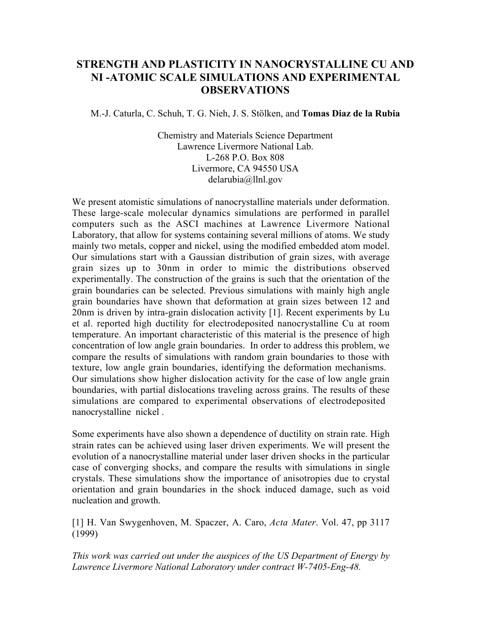# **STRENGTH AND PLASTICITY IN NANOCRYSTALLINE CU AND NI -ATOMIC SCALE SIMULATIONS AND EXPERIMENTAL OBSERVATIONS**

M.-J. Caturla, C. Schuh, T. G. Nieh, J. S. Stölken, and **Tomas Diaz de la Rubia**

Chemistry and Materials Science Department Lawrence Livermore National Lab. L-268 P.O. Box 808 Livermore, CA 94550 USA delarubia@llnl.gov

We present atomistic simulations of nanocrystalline materials under deformation. These large-scale molecular dynamics simulations are performed in parallel computers such as the ASCI machines at Lawrence Livermore National Laboratory, that allow for systems containing several millions of atoms. We study mainly two metals, copper and nickel, using the modified embedded atom model. Our simulations start with a Gaussian distribution of grain sizes, with average grain sizes up to 30nm in order to mimic the distributions observed experimentally. The construction of the grains is such that the orientation of the grain boundaries can be selected. Previous simulations with mainly high angle grain boundaries have shown that deformation at grain sizes between 12 and 20nm is driven by intra-grain dislocation activity [1]. Recent experiments by Lu et al. reported high ductility for electrodeposited nanocrystalline Cu at room temperature. An important characteristic of this material is the presence of high concentration of low angle grain boundaries. In order to address this problem, we compare the results of simulations with random grain boundaries to those with texture, low angle grain boundaries, identifying the deformation mechanisms. Our simulations show higher dislocation activity for the case of low angle grain boundaries, with partial dislocations traveling across grains. The results of these simulations are compared to experimental observations of electrodeposited nanocrystalline nickel .

Some experiments have also shown a dependence of ductility on strain rate. High strain rates can be achieved using laser driven experiments. We will present the evolution of a nanocrystalline material under laser driven shocks in the particular case of converging shocks, and compare the results with simulations in single crystals. These simulations show the importance of anisotropies due to crystal orientation and grain boundaries in the shock induced damage, such as void nucleation and growth.

[1] H. Van Swygenhoven, M. Spaczer, A. Caro, *Acta Mater*. Vol. 47, pp 3117 (1999)

*This work was carried out under the auspices of the US Department of Energy by Lawrence Livermore National Laboratory under contract W-7405-Eng-48.*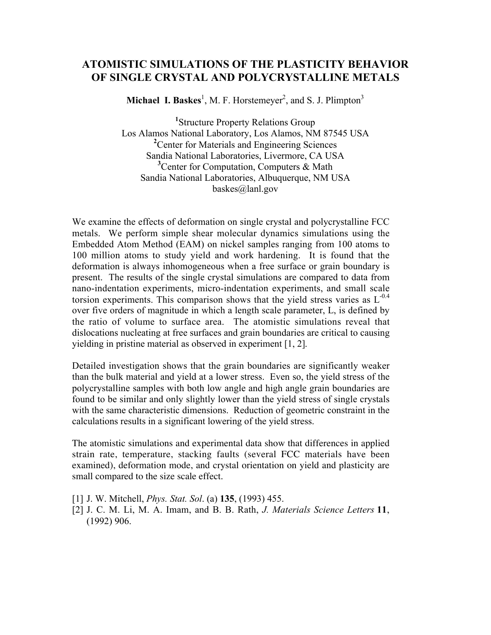## **ATOMISTIC SIMULATIONS OF THE PLASTICITY BEHAVIOR OF SINGLE CRYSTAL AND POLYCRYSTALLINE METALS**

**Michael I. Baskes**<sup>1</sup>, M. F. Horstemeyer<sup>2</sup>, and S. J. Plimpton<sup>3</sup>

**1** Structure Property Relations Group Los Alamos National Laboratory, Los Alamos, NM 87545 USA <sup>2</sup> Center for Materials and Engineering Sciences Sandia National Laboratories, Livermore, CA USA **3** Center for Computation, Computers & Math Sandia National Laboratories, Albuquerque, NM USA baskes@lanl.gov

We examine the effects of deformation on single crystal and polycrystalline FCC metals. We perform simple shear molecular dynamics simulations using the Embedded Atom Method (EAM) on nickel samples ranging from 100 atoms to 100 million atoms to study yield and work hardening. It is found that the deformation is always inhomogeneous when a free surface or grain boundary is present. The results of the single crystal simulations are compared to data from nano-indentation experiments, micro-indentation experiments, and small scale torsion experiments. This comparison shows that the yield stress varies as  $L^{-0.4}$ over five orders of magnitude in which a length scale parameter, L, is defined by the ratio of volume to surface area. The atomistic simulations reveal that dislocations nucleating at free surfaces and grain boundaries are critical to causing yielding in pristine material as observed in experiment [1, 2].

Detailed investigation shows that the grain boundaries are significantly weaker than the bulk material and yield at a lower stress. Even so, the yield stress of the polycrystalline samples with both low angle and high angle grain boundaries are found to be similar and only slightly lower than the yield stress of single crystals with the same characteristic dimensions. Reduction of geometric constraint in the calculations results in a significant lowering of the yield stress.

The atomistic simulations and experimental data show that differences in applied strain rate, temperature, stacking faults (several FCC materials have been examined), deformation mode, and crystal orientation on yield and plasticity are small compared to the size scale effect.

- [1] J. W. Mitchell, *Phys. Stat. Sol*. (a) **135**, (1993) 455.
- [2] J. C. M. Li, M. A. Imam, and B. B. Rath, *J. Materials Science Letters* **11**, (1992) 906.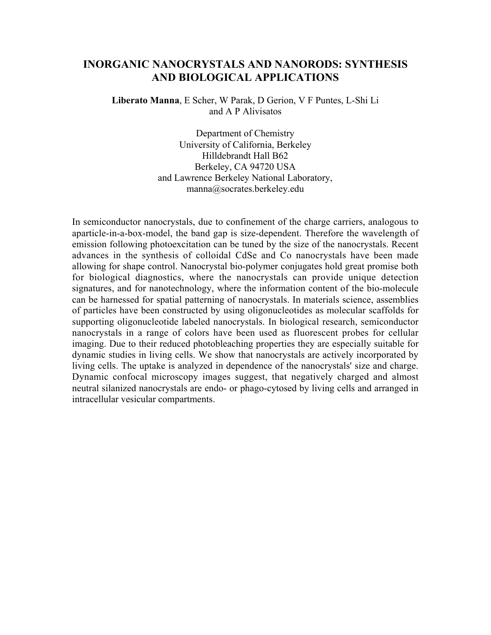## **INORGANIC NANOCRYSTALS AND NANORODS: SYNTHESIS AND BIOLOGICAL APPLICATIONS**

**Liberato Manna**, E Scher, W Parak, D Gerion, V F Puntes, L-Shi Li and A P Alivisatos

> Department of Chemistry University of California, Berkeley Hilldebrandt Hall B62 Berkeley, CA 94720 USA and Lawrence Berkeley National Laboratory, manna@socrates.berkeley.edu

In semiconductor nanocrystals, due to confinement of the charge carriers, analogous to aparticle-in-a-box-model, the band gap is size-dependent. Therefore the wavelength of emission following photoexcitation can be tuned by the size of the nanocrystals. Recent advances in the synthesis of colloidal CdSe and Co nanocrystals have been made allowing for shape control. Nanocrystal bio-polymer conjugates hold great promise both for biological diagnostics, where the nanocrystals can provide unique detection signatures, and for nanotechnology, where the information content of the bio-molecule can be harnessed for spatial patterning of nanocrystals. In materials science, assemblies of particles have been constructed by using oligonucleotides as molecular scaffolds for supporting oligonucleotide labeled nanocrystals. In biological research, semiconductor nanocrystals in a range of colors have been used as fluorescent probes for cellular imaging. Due to their reduced photobleaching properties they are especially suitable for dynamic studies in living cells. We show that nanocrystals are actively incorporated by living cells. The uptake is analyzed in dependence of the nanocrystals' size and charge. Dynamic confocal microscopy images suggest, that negatively charged and almost neutral silanized nanocrystals are endo- or phago-cytosed by living cells and arranged in intracellular vesicular compartments.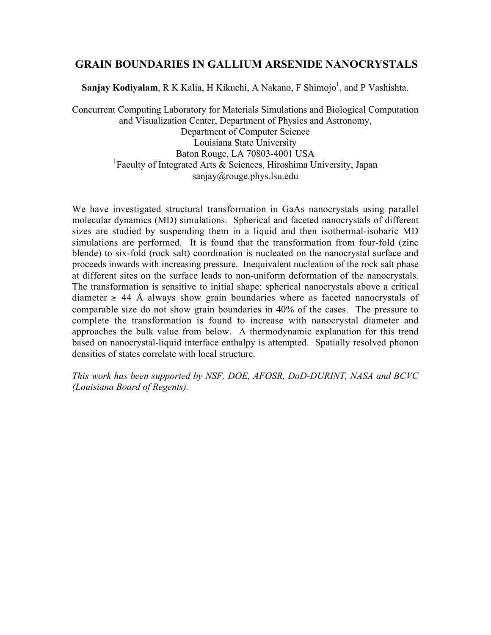### **GRAIN BOUNDARIES IN GALLIUM ARSENIDE NANOCRYSTALS**

**Sanjay Kodiyalam**, R K Kalia, H Kikuchi, A Nakano, F Shimojo<sup>1</sup>, and P Vashishta.

Concurrent Computing Laboratory for Materials Simulations and Biological Computation and Visualization Center, Department of Physics and Astronomy, Department of Computer Science Louisiana State University Baton Rouge, LA 70803-4001 USA <sup>1</sup>Faculty of Integrated Arts & Sciences, Hiroshima University, Japan sanjay@rouge.phys.lsu.edu

We have investigated structural transformation in GaAs nanocrystals using parallel molecular dynamics (MD) simulations. Spherical and faceted nanocrystals of different sizes are studied by suspending them in a liquid and then isothermal-isobaric MD simulations are performed. It is found that the transformation from four-fold (zinc blende) to six-fold (rock salt) coordination is nucleated on the nanocrystal surface and proceeds inwards with increasing pressure. Inequivalent nucleation of the rock salt phase at different sites on the surface leads to non-uniform deformation of the nanocrystals. The transformation is sensitive to initial shape: spherical nanocrystals above a critical diameter  $\geq$  44 Å always show grain boundaries where as faceted nanocrystals of comparable size do not show grain boundaries in 40% of the cases. The pressure to complete the transformation is found to increase with nanocrystal diameter and approaches the bulk value from below. A thermodynamic explanation for this trend based on nanocrystal-liquid interface enthalpy is attempted. Spatially resolved phonon densities of states correlate with local structure.

*This work has been supported by NSF, DOE, AFOSR, DoD-DURINT, NASA and BCVC (Louisiana Board of Regents).*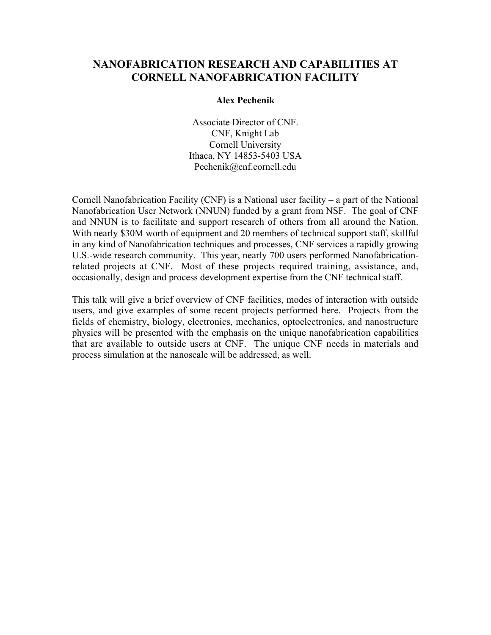## **NANOFABRICATION RESEARCH AND CAPABILITIES AT CORNELL NANOFABRICATION FACILITY**

### **Alex Pechenik**

Associate Director of CNF. CNF, Knight Lab Cornell University Ithaca, NY 14853-5403 USA Pechenik@cnf.cornell.edu

Cornell Nanofabrication Facility (CNF) is a National user facility – a part of the National Nanofabrication User Network (NNUN) funded by a grant from NSF. The goal of CNF and NNUN is to facilitate and support research of others from all around the Nation. With nearly \$30M worth of equipment and 20 members of technical support staff, skillful in any kind of Nanofabrication techniques and processes, CNF services a rapidly growing U.S.-wide research community. This year, nearly 700 users performed Nanofabricationrelated projects at CNF. Most of these projects required training, assistance, and, occasionally, design and process development expertise from the CNF technical staff.

This talk will give a brief overview of CNF facilities, modes of interaction with outside users, and give examples of some recent projects performed here. Projects from the fields of chemistry, biology, electronics, mechanics, optoelectronics, and nanostructure physics will be presented with the emphasis on the unique nanofabrication capabilities that are available to outside users at CNF. The unique CNF needs in materials and process simulation at the nanoscale will be addressed, as well.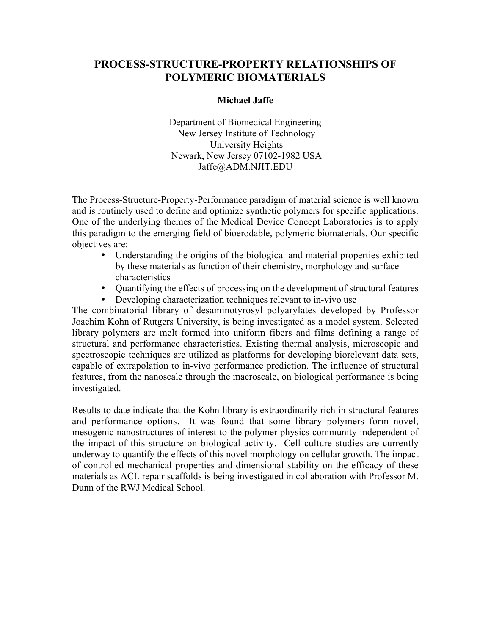## **PROCESS-STRUCTURE-PROPERTY RELATIONSHIPS OF POLYMERIC BIOMATERIALS**

#### **Michael Jaffe**

Department of Biomedical Engineering New Jersey Institute of Technology University Heights Newark, New Jersey 07102-1982 USA Jaffe@ADM.NJIT.EDU

The Process-Structure-Property-Performance paradigm of material science is well known and is routinely used to define and optimize synthetic polymers for specific applications. One of the underlying themes of the Medical Device Concept Laboratories is to apply this paradigm to the emerging field of bioerodable, polymeric biomaterials. Our specific objectives are:

> Understanding the origins of the biological and material properties exhibited by these materials as function of their chemistry, morphology and surface characteristics

> Quantifying the effects of processing on the development of structural features Developing characterization techniques relevant to in-vivo use

The combinatorial library of desaminotyrosyl polyarylates developed by Professor Joachim Kohn of Rutgers University, is being investigated as a model system. Selected library polymers are melt formed into uniform fibers and films defining a range of structural and performance characteristics. Existing thermal analysis, microscopic and spectroscopic techniques are utilized as platforms for developing biorelevant data sets, capable of extrapolation to in-vivo performance prediction. The influence of structural features, from the nanoscale through the macroscale, on biological performance is being investigated.

Results to date indicate that the Kohn library is extraordinarily rich in structural features and performance options. It was found that some library polymers form novel, mesogenic nanostructures of interest to the polymer physics community independent of the impact of this structure on biological activity. Cell culture studies are currently underway to quantify the effects of this novel morphology on cellular growth. The impact of controlled mechanical properties and dimensional stability on the efficacy of these materials as ACL repair scaffolds is being investigated in collaboration with Professor M. Dunn of the RWJ Medical School.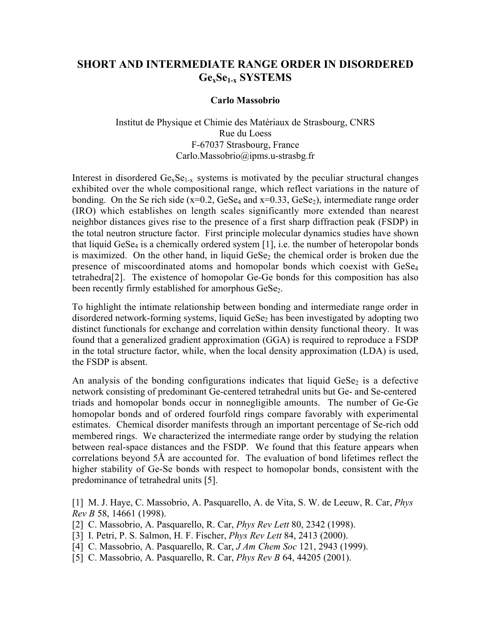# **SHORT AND INTERMEDIATE RANGE ORDER IN DISORDERED GexSe1-x SYSTEMS**

### **Carlo Massobrio**

Institut de Physique et Chimie des Matériaux de Strasbourg, CNRS Rue du Loess F-67037 Strasbourg, France Carlo.Massobrio@ipms.u-strasbg.fr

Interest in disordered  $Ge_xSe_{1-x}$  systems is motivated by the peculiar structural changes exhibited over the whole compositional range, which reflect variations in the nature of bonding. On the Se rich side  $(x=0.2, GeSe<sub>4</sub>$  and  $x=0.33, GeSe<sub>2</sub>)$ , intermediate range order (IRO) which establishes on length scales significantly more extended than nearest neighbor distances gives rise to the presence of a first sharp diffraction peak (FSDP) in the total neutron structure factor. First principle molecular dynamics studies have shown that liquid GeSe<sub>4</sub> is a chemically ordered system  $[1]$ , i.e. the number of heteropolar bonds is maximized. On the other hand, in liquid GeSe<sub>2</sub> the chemical order is broken due the presence of miscoordinated atoms and homopolar bonds which coexist with GeSe4 tetrahedra[2]. The existence of homopolar Ge-Ge bonds for this composition has also been recently firmly established for amorphous GeSe<sub>2</sub>.

To highlight the intimate relationship between bonding and intermediate range order in disordered network-forming systems, liquid GeSe<sub>2</sub> has been investigated by adopting two distinct functionals for exchange and correlation within density functional theory. It was found that a generalized gradient approximation (GGA) is required to reproduce a FSDP in the total structure factor, while, when the local density approximation (LDA) is used, the FSDP is absent.

An analysis of the bonding configurations indicates that liquid  $Gese<sub>2</sub>$  is a defective network consisting of predominant Ge-centered tetrahedral units but Ge- and Se-centered triads and homopolar bonds occur in nonnegligible amounts. The number of Ge-Ge homopolar bonds and of ordered fourfold rings compare favorably with experimental estimates. Chemical disorder manifests through an important percentage of Se-rich odd membered rings. We characterized the intermediate range order by studying the relation between real-space distances and the FSDP. We found that this feature appears when correlations beyond 5Å are accounted for. The evaluation of bond lifetimes reflect the higher stability of Ge-Se bonds with respect to homopolar bonds, consistent with the predominance of tetrahedral units [5].

[1] M. J. Haye, C. Massobrio, A. Pasquarello, A. de Vita, S. W. de Leeuw, R. Car, *Phys Rev B* 58, 14661 (1998).

- [2] C. Massobrio, A. Pasquarello, R. Car, *Phys Rev Lett* 80, 2342 (1998).
- [3] I. Petri, P. S. Salmon, H. F. Fischer, *Phys Rev Lett* 84, 2413 (2000).
- [4] C. Massobrio, A. Pasquarello, R. Car, *J Am Chem Soc* 121, 2943 (1999).
- [5] C. Massobrio, A. Pasquarello, R. Car, *Phys Rev B* 64, 44205 (2001).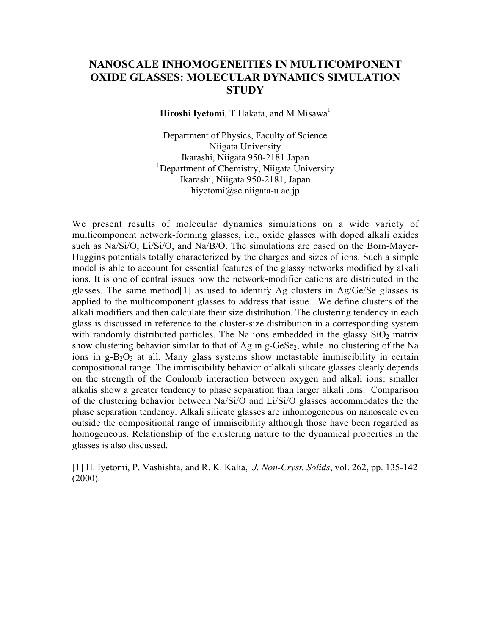# **NANOSCALE INHOMOGENEITIES IN MULTICOMPONENT OXIDE GLASSES: MOLECULAR DYNAMICS SIMULATION STUDY**

**Hiroshi Iyetomi**, T Hakata, and M Misawa<sup>1</sup>

Department of Physics, Faculty of Science Niigata University Ikarashi, Niigata 950-2181 Japan <sup>1</sup>Department of Chemistry, Niigata University Ikarashi, Niigata 950-2181, Japan hiyetomi@sc.niigata-u.ac.jp

We present results of molecular dynamics simulations on a wide variety of multicomponent network-forming glasses, i.e., oxide glasses with doped alkali oxides such as Na/Si/O, Li/Si/O, and Na/B/O. The simulations are based on the Born-Mayer-Huggins potentials totally characterized by the charges and sizes of ions. Such a simple model is able to account for essential features of the glassy networks modified by alkali ions. It is one of central issues how the network-modifier cations are distributed in the glasses. The same method[1] as used to identify Ag clusters in Ag/Ge/Se glasses is applied to the multicomponent glasses to address that issue. We define clusters of the alkali modifiers and then calculate their size distribution. The clustering tendency in each glass is discussed in reference to the cluster-size distribution in a corresponding system with randomly distributed particles. The Na ions embedded in the glassy  $SiO<sub>2</sub>$  matrix show clustering behavior similar to that of Ag in  $g$ -GeSe<sub>2</sub>, while no clustering of the Na ions in  $g-B_2O_3$  at all. Many glass systems show metastable immiscibility in certain compositional range. The immiscibility behavior of alkali silicate glasses clearly depends on the strength of the Coulomb interaction between oxygen and alkali ions: smaller alkalis show a greater tendency to phase separation than larger alkali ions. Comparison of the clustering behavior between Na/Si/O and Li/Si/O glasses accommodates the the phase separation tendency. Alkali silicate glasses are inhomogeneous on nanoscale even outside the compositional range of immiscibility although those have been regarded as homogeneous. Relationship of the clustering nature to the dynamical properties in the glasses is also discussed.

[1] H. Iyetomi, P. Vashishta, and R. K. Kalia, *J. Non-Cryst. Solids*, vol. 262, pp. 135-142  $(2000)$ .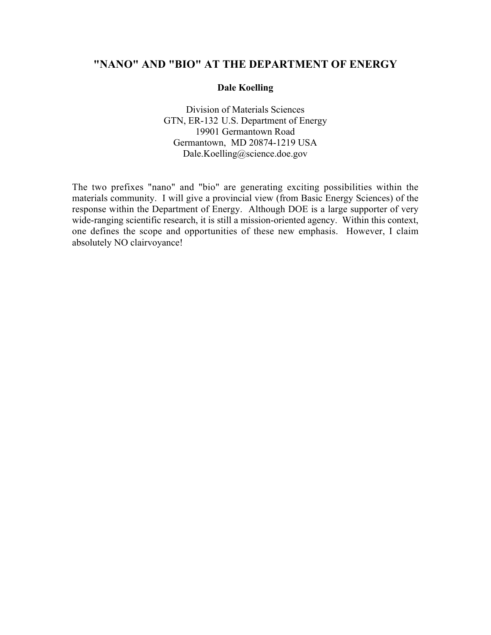# **"NANO" AND "BIO" AT THE DEPARTMENT OF ENERGY**

### **Dale Koelling**

Division of Materials Sciences GTN, ER-132 U.S. Department of Energy 19901 Germantown Road Germantown, MD 20874-1219 USA Dale.Koelling@science.doe.gov

The two prefixes "nano" and "bio" are generating exciting possibilities within the materials community. I will give a provincial view (from Basic Energy Sciences) of the response within the Department of Energy. Although DOE is a large supporter of very wide-ranging scientific research, it is still a mission-oriented agency. Within this context, one defines the scope and opportunities of these new emphasis. However, I claim absolutely NO clairvoyance!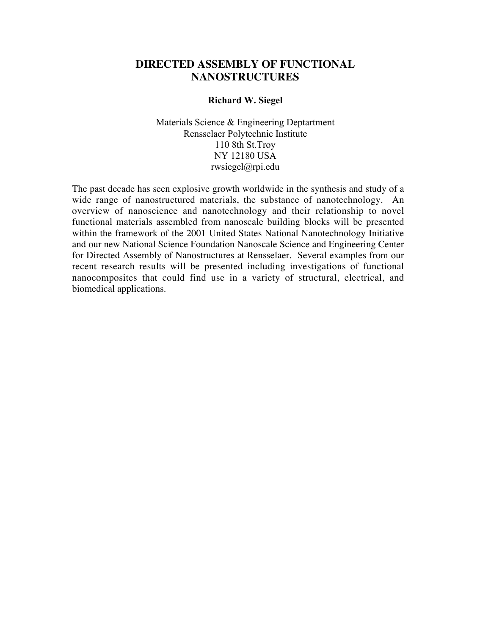### **DIRECTED ASSEMBLY OF FUNCTIONAL NANOSTRUCTURES**

#### **Richard W. Siegel**

Materials Science & Engineering Deptartment Rensselaer Polytechnic Institute 110 8th St.Troy NY 12180 USA rwsiegel@rpi.edu

The past decade has seen explosive growth worldwide in the synthesis and study of a wide range of nanostructured materials, the substance of nanotechnology. An overview of nanoscience and nanotechnology and their relationship to novel functional materials assembled from nanoscale building blocks will be presented within the framework of the 2001 United States National Nanotechnology Initiative and our new National Science Foundation Nanoscale Science and Engineering Center for Directed Assembly of Nanostructures at Rensselaer. Several examples from our recent research results will be presented including investigations of functional nanocomposites that could find use in a variety of structural, electrical, and biomedical applications.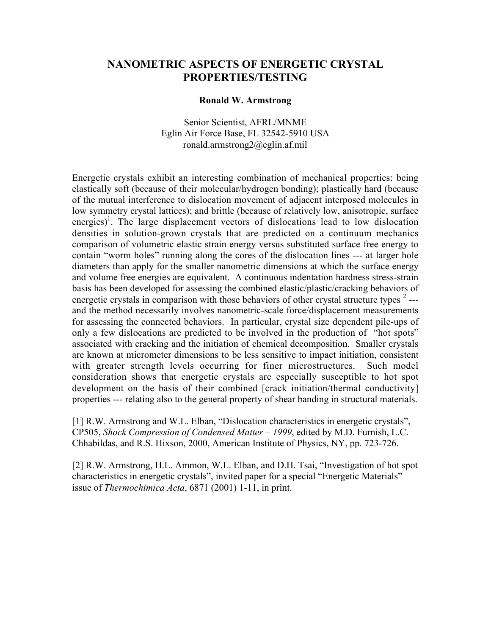## **NANOMETRIC ASPECTS OF ENERGETIC CRYSTAL PROPERTIES/TESTING**

#### **Ronald W. Armstrong**

Senior Scientist, AFRL/MNME Eglin Air Force Base, FL 32542-5910 USA ronald.armstrong2@eglin.af.mil

Energetic crystals exhibit an interesting combination of mechanical properties: being elastically soft (because of their molecular/hydrogen bonding); plastically hard (because of the mutual interference to dislocation movement of adjacent interposed molecules in low symmetry crystal lattices); and brittle (because of relatively low, anisotropic, surface energies)<sup>1</sup>. The large displacement vectors of dislocations lead to low dislocation densities in solution-grown crystals that are predicted on a continuum mechanics comparison of volumetric elastic strain energy versus substituted surface free energy to contain "worm holes" running along the cores of the dislocation lines --- at larger hole diameters than apply for the smaller nanometric dimensions at which the surface energy and volume free energies are equivalent. A continuous indentation hardness stress-strain basis has been developed for assessing the combined elastic/plastic/cracking behaviors of energetic crystals in comparison with those behaviors of other crystal structure types  $2$ --and the method necessarily involves nanometric-scale force/displacement measurements for assessing the connected behaviors. In particular, crystal size dependent pile-ups of only a few dislocations are predicted to be involved in the production of "hot spots" associated with cracking and the initiation of chemical decomposition. Smaller crystals are known at micrometer dimensions to be less sensitive to impact initiation, consistent with greater strength levels occurring for finer microstructures. Such model consideration shows that energetic crystals are especially susceptible to hot spot development on the basis of their combined [crack initiation/thermal conductivity] properties --- relating also to the general property of shear banding in structural materials.

[1] R.W. Armstrong and W.L. Elban, "Dislocation characteristics in energetic crystals", CP505, *Shock Compression of Condensed Matter – 1999*, edited by M.D. Furnish, L.C. Chhabildas, and R.S. Hixson, 2000, American Institute of Physics, NY, pp. 723-726.

[2] R.W. Armstrong, H.L. Ammon, W.L. Elban, and D.H. Tsai, "Investigation of hot spot characteristics in energetic crystals", invited paper for a special "Energetic Materials" issue of *Thermochimica Acta*, 6871 (2001) 1-11, in print.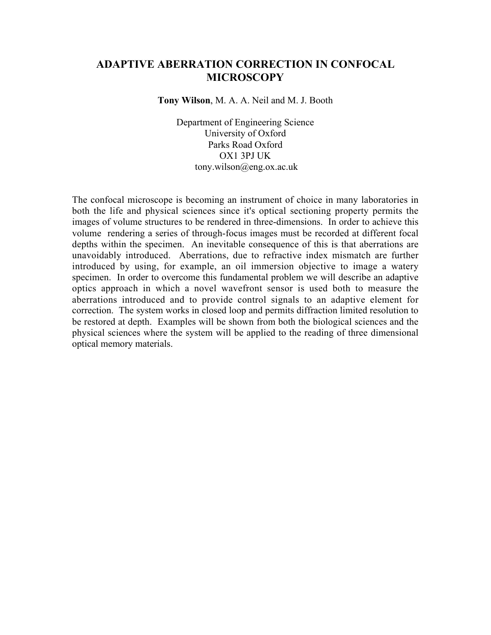## **ADAPTIVE ABERRATION CORRECTION IN CONFOCAL MICROSCOPY**

**Tony Wilson**, M. A. A. Neil and M. J. Booth

Department of Engineering Science University of Oxford Parks Road Oxford OX1 3PJ UK tony.wilson@eng.ox.ac.uk

The confocal microscope is becoming an instrument of choice in many laboratories in both the life and physical sciences since it's optical sectioning property permits the images of volume structures to be rendered in three-dimensions. In order to achieve this volume rendering a series of through-focus images must be recorded at different focal depths within the specimen. An inevitable consequence of this is that aberrations are unavoidably introduced. Aberrations, due to refractive index mismatch are further introduced by using, for example, an oil immersion objective to image a watery specimen. In order to overcome this fundamental problem we will describe an adaptive optics approach in which a novel wavefront sensor is used both to measure the aberrations introduced and to provide control signals to an adaptive element for correction. The system works in closed loop and permits diffraction limited resolution to be restored at depth. Examples will be shown from both the biological sciences and the physical sciences where the system will be applied to the reading of three dimensional optical memory materials.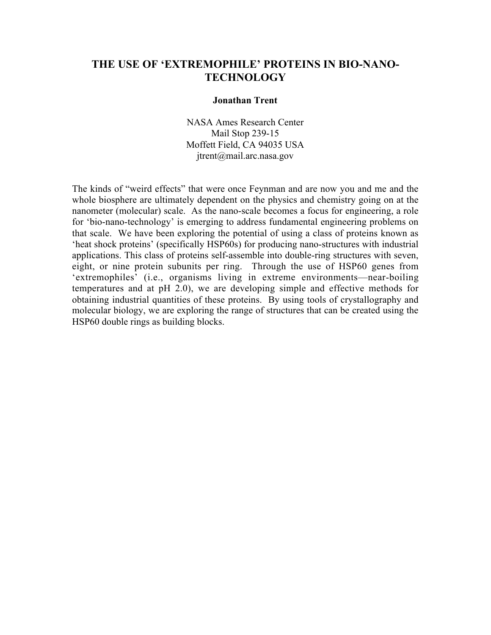## **THE USE OF 'EXTREMOPHILE' PROTEINS IN BIO-NANO-TECHNOLOGY**

#### **Jonathan Trent**

NASA Ames Research Center Mail Stop 239-15 Moffett Field, CA 94035 USA jtrent@mail.arc.nasa.gov

The kinds of "weird effects" that were once Feynman and are now you and me and the whole biosphere are ultimately dependent on the physics and chemistry going on at the nanometer (molecular) scale. As the nano-scale becomes a focus for engineering, a role for 'bio-nano-technology' is emerging to address fundamental engineering problems on that scale. We have been exploring the potential of using a class of proteins known as 'heat shock proteins' (specifically HSP60s) for producing nano-structures with industrial applications. This class of proteins self-assemble into double-ring structures with seven, eight, or nine protein subunits per ring. Through the use of HSP60 genes from 'extremophiles' (i.e., organisms living in extreme environments—near-boiling temperatures and at pH 2.0), we are developing simple and effective methods for obtaining industrial quantities of these proteins. By using tools of crystallography and molecular biology, we are exploring the range of structures that can be created using the HSP60 double rings as building blocks.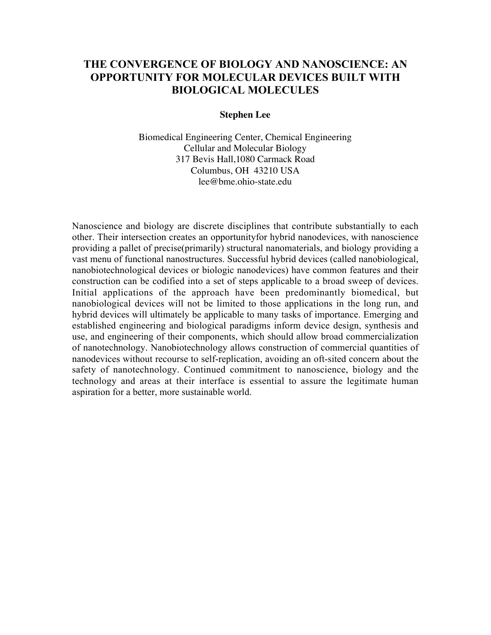# **THE CONVERGENCE OF BIOLOGY AND NANOSCIENCE: AN OPPORTUNITY FOR MOLECULAR DEVICES BUILT WITH BIOLOGICAL MOLECULES**

#### **Stephen Lee**

Biomedical Engineering Center, Chemical Engineering Cellular and Molecular Biology 317 Bevis Hall,1080 Carmack Road Columbus, OH 43210 USA lee@bme.ohio-state.edu

Nanoscience and biology are discrete disciplines that contribute substantially to each other. Their intersection creates an opportunityfor hybrid nanodevices, with nanoscience providing a pallet of precise(primarily) structural nanomaterials, and biology providing a vast menu of functional nanostructures. Successful hybrid devices (called nanobiological, nanobiotechnological devices or biologic nanodevices) have common features and their construction can be codified into a set of steps applicable to a broad sweep of devices. Initial applications of the approach have been predominantly biomedical, but nanobiological devices will not be limited to those applications in the long run, and hybrid devices will ultimately be applicable to many tasks of importance. Emerging and established engineering and biological paradigms inform device design, synthesis and use, and engineering of their components, which should allow broad commercialization of nanotechnology. Nanobiotechnology allows construction of commercial quantities of nanodevices without recourse to self-replication, avoiding an oft-sited concern about the safety of nanotechnology. Continued commitment to nanoscience, biology and the technology and areas at their interface is essential to assure the legitimate human aspiration for a better, more sustainable world.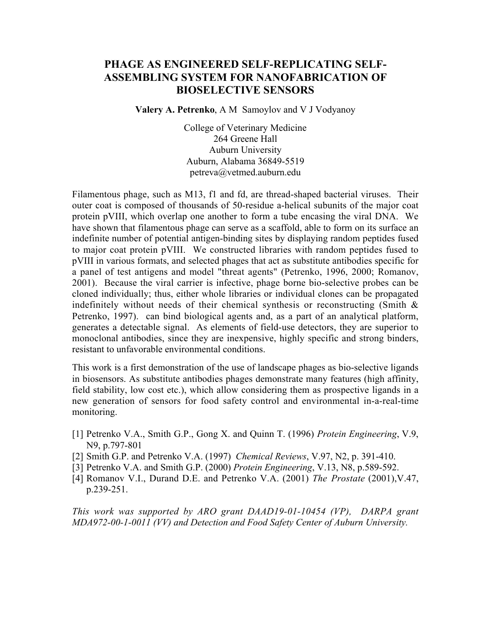## **PHAGE AS ENGINEERED SELF-REPLICATING SELF-ASSEMBLING SYSTEM FOR NANOFABRICATION OF BIOSELECTIVE SENSORS**

**Valery A. Petrenko**, A M Samoylov and V J Vodyanoy

College of Veterinary Medicine 264 Greene Hall Auburn University Auburn, Alabama 36849-5519 petreva@vetmed.auburn.edu

Filamentous phage, such as M13, f1 and fd, are thread-shaped bacterial viruses. Their outer coat is composed of thousands of 50-residue a-helical subunits of the major coat protein pVIII, which overlap one another to form a tube encasing the viral DNA. We have shown that filamentous phage can serve as a scaffold, able to form on its surface an indefinite number of potential antigen-binding sites by displaying random peptides fused to major coat protein pVIII. We constructed libraries with random peptides fused to pVIII in various formats, and selected phages that act as substitute antibodies specific for a panel of test antigens and model "threat agents" (Petrenko, 1996, 2000; Romanov, 2001). Because the viral carrier is infective, phage borne bio-selective probes can be cloned individually; thus, either whole libraries or individual clones can be propagated indefinitely without needs of their chemical synthesis or reconstructing (Smith  $\&$ Petrenko, 1997). can bind biological agents and, as a part of an analytical platform, generates a detectable signal. As elements of field-use detectors, they are superior to monoclonal antibodies, since they are inexpensive, highly specific and strong binders, resistant to unfavorable environmental conditions.

This work is a first demonstration of the use of landscape phages as bio-selective ligands in biosensors. As substitute antibodies phages demonstrate many features (high affinity, field stability, low cost etc.), which allow considering them as prospective ligands in a new generation of sensors for food safety control and environmental in-a-real-time monitoring.

- [1] Petrenko V.A., Smith G.P., Gong X. and Quinn T. (1996) *Protein Engineering*, V.9, N9, p.797-801
- [2] Smith G.P. and Petrenko V.A. (1997) *Chemical Reviews*, V.97, N2, p. 391-410.
- [3] Petrenko V.A. and Smith G.P. (2000) *Protein Engineering*, V.13, N8, p.589-592.
- [4] Romanov V.I., Durand D.E. and Petrenko V.A. (2001) *The Prostate* (2001),V.47, p.239-251.

*This work was supported by ARO grant DAAD19-01-10454 (VP), DARPA grant MDA972-00-1-0011 (VV) and Detection and Food Safety Center of Auburn University.*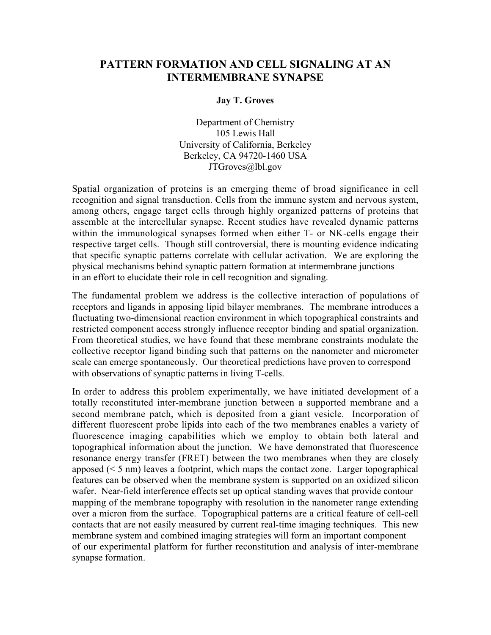## **PATTERN FORMATION AND CELL SIGNALING AT AN INTERMEMBRANE SYNAPSE**

### **Jay T. Groves**

Department of Chemistry 105 Lewis Hall University of California, Berkeley Berkeley, CA 94720-1460 USA JTGroves@lbl.gov

Spatial organization of proteins is an emerging theme of broad significance in cell recognition and signal transduction. Cells from the immune system and nervous system, among others, engage target cells through highly organized patterns of proteins that assemble at the intercellular synapse. Recent studies have revealed dynamic patterns within the immunological synapses formed when either T- or NK-cells engage their respective target cells. Though still controversial, there is mounting evidence indicating that specific synaptic patterns correlate with cellular activation. We are exploring the physical mechanisms behind synaptic pattern formation at intermembrane junctions in an effort to elucidate their role in cell recognition and signaling.

The fundamental problem we address is the collective interaction of populations of receptors and ligands in apposing lipid bilayer membranes. The membrane introduces a fluctuating two-dimensional reaction environment in which topographical constraints and restricted component access strongly influence receptor binding and spatial organization. From theoretical studies, we have found that these membrane constraints modulate the collective receptor ligand binding such that patterns on the nanometer and micrometer scale can emerge spontaneously. Our theoretical predictions have proven to correspond with observations of synaptic patterns in living T-cells.

In order to address this problem experimentally, we have initiated development of a totally reconstituted inter-membrane junction between a supported membrane and a second membrane patch, which is deposited from a giant vesicle. Incorporation of different fluorescent probe lipids into each of the two membranes enables a variety of fluorescence imaging capabilities which we employ to obtain both lateral and topographical information about the junction. We have demonstrated that fluorescence resonance energy transfer (FRET) between the two membranes when they are closely apposed  $(< 5 \text{ nm})$  leaves a footprint, which maps the contact zone. Larger topographical features can be observed when the membrane system is supported on an oxidized silicon wafer. Near-field interference effects set up optical standing waves that provide contour mapping of the membrane topography with resolution in the nanometer range extending over a micron from the surface. Topographical patterns are a critical feature of cell-cell contacts that are not easily measured by current real-time imaging techniques. This new membrane system and combined imaging strategies will form an important component of our experimental platform for further reconstitution and analysis of inter-membrane synapse formation.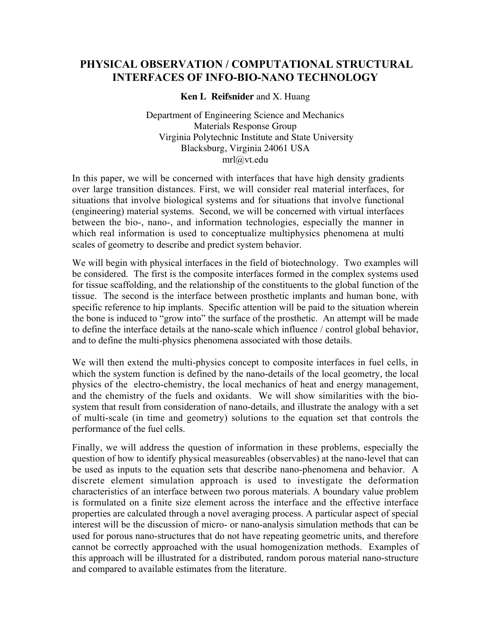# **PHYSICAL OBSERVATION / COMPUTATIONAL STRUCTURAL INTERFACES OF INFO-BIO-NANO TECHNOLOGY**

### **Ken L Reifsnider** and X. Huang

Department of Engineering Science and Mechanics Materials Response Group Virginia Polytechnic Institute and State University Blacksburg, Virginia 24061 USA mrl@vt.edu

In this paper, we will be concerned with interfaces that have high density gradients over large transition distances. First, we will consider real material interfaces, for situations that involve biological systems and for situations that involve functional (engineering) material systems. Second, we will be concerned with virtual interfaces between the bio-, nano-, and information technologies, especially the manner in which real information is used to conceptualize multiphysics phenomena at multi scales of geometry to describe and predict system behavior.

We will begin with physical interfaces in the field of biotechnology. Two examples will be considered. The first is the composite interfaces formed in the complex systems used for tissue scaffolding, and the relationship of the constituents to the global function of the tissue. The second is the interface between prosthetic implants and human bone, with specific reference to hip implants. Specific attention will be paid to the situation wherein the bone is induced to "grow into" the surface of the prosthetic. An attempt will be made to define the interface details at the nano-scale which influence / control global behavior, and to define the multi-physics phenomena associated with those details.

We will then extend the multi-physics concept to composite interfaces in fuel cells, in which the system function is defined by the nano-details of the local geometry, the local physics of the electro-chemistry, the local mechanics of heat and energy management, and the chemistry of the fuels and oxidants. We will show similarities with the biosystem that result from consideration of nano-details, and illustrate the analogy with a set of multi-scale (in time and geometry) solutions to the equation set that controls the performance of the fuel cells.

Finally, we will address the question of information in these problems, especially the question of how to identify physical measureables (observables) at the nano-level that can be used as inputs to the equation sets that describe nano-phenomena and behavior. A discrete element simulation approach is used to investigate the deformation characteristics of an interface between two porous materials. A boundary value problem is formulated on a finite size element across the interface and the effective interface properties are calculated through a novel averaging process. A particular aspect of special interest will be the discussion of micro- or nano-analysis simulation methods that can be used for porous nano-structures that do not have repeating geometric units, and therefore cannot be correctly approached with the usual homogenization methods. Examples of this approach will be illustrated for a distributed, random porous material nano-structure and compared to available estimates from the literature.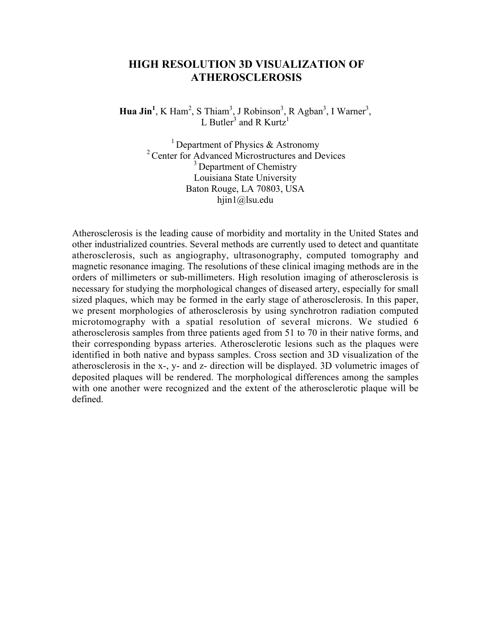## **HIGH RESOLUTION 3D VISUALIZATION OF ATHEROSCLEROSIS**

**Hua Jin<sup>1</sup>**, K Ham<sup>2</sup>, S Thiam<sup>3</sup>, J Robinson<sup>3</sup>, R Agban<sup>3</sup>, I Warner<sup>3</sup>, L Butler<sup>3</sup> and R Kurtz<sup>1</sup>

> <sup>1</sup> Department of Physics  $\&$  Astronomy <sup>2</sup> Center for Advanced Microstructures and Devices <sup>3</sup> Department of Chemistry Louisiana State University Baton Rouge, LA 70803, USA hjin1@lsu.edu

Atherosclerosis is the leading cause of morbidity and mortality in the United States and other industrialized countries. Several methods are currently used to detect and quantitate atherosclerosis, such as angiography, ultrasonography, computed tomography and magnetic resonance imaging. The resolutions of these clinical imaging methods are in the orders of millimeters or sub-millimeters. High resolution imaging of atherosclerosis is necessary for studying the morphological changes of diseased artery, especially for small sized plaques, which may be formed in the early stage of atherosclerosis. In this paper, we present morphologies of atherosclerosis by using synchrotron radiation computed microtomography with a spatial resolution of several microns. We studied 6 atherosclerosis samples from three patients aged from 51 to 70 in their native forms, and their corresponding bypass arteries. Atherosclerotic lesions such as the plaques were identified in both native and bypass samples. Cross section and 3D visualization of the atherosclerosis in the x-, y- and z- direction will be displayed. 3D volumetric images of deposited plaques will be rendered. The morphological differences among the samples with one another were recognized and the extent of the atherosclerotic plaque will be defined.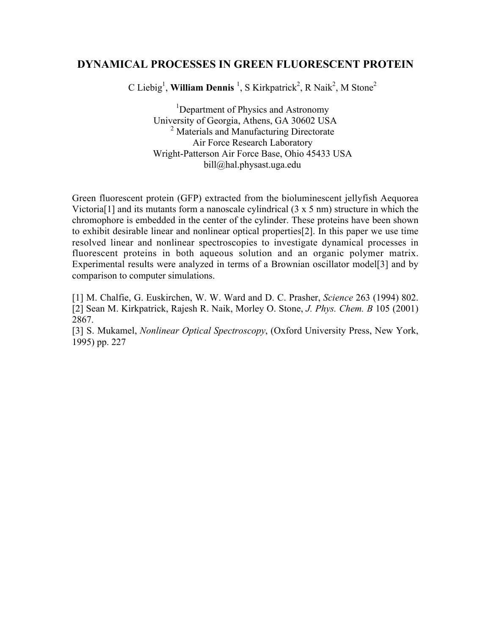### **DYNAMICAL PROCESSES IN GREEN FLUORESCENT PROTEIN**

C Liebig<sup>1</sup>, William Dennis<sup>1</sup>, S Kirkpatrick<sup>2</sup>, R Naik<sup>2</sup>, M Stone<sup>2</sup>

<sup>1</sup>Department of Physics and Astronomy University of Georgia, Athens, GA 30602 USA <sup>2</sup> Materials and Manufacturing Directorate Air Force Research Laboratory Wright-Patterson Air Force Base, Ohio 45433 USA bill@hal.physast.uga.edu

Green fluorescent protein (GFP) extracted from the bioluminescent jellyfish Aequorea Victoria<sup>[1]</sup> and its mutants form a nanoscale cylindrical  $(3 \times 5 \text{ nm})$  structure in which the chromophore is embedded in the center of the cylinder. These proteins have been shown to exhibit desirable linear and nonlinear optical properties[2]. In this paper we use time resolved linear and nonlinear spectroscopies to investigate dynamical processes in fluorescent proteins in both aqueous solution and an organic polymer matrix. Experimental results were analyzed in terms of a Brownian oscillator model[3] and by comparison to computer simulations.

[1] M. Chalfie, G. Euskirchen, W. W. Ward and D. C. Prasher, *Science* 263 (1994) 802. [2] Sean M. Kirkpatrick, Rajesh R. Naik, Morley O. Stone, *J. Phys. Chem. B* 105 (2001) 2867.

[3] S. Mukamel, *Nonlinear Optical Spectroscopy*, (Oxford University Press, New York, 1995) pp. 227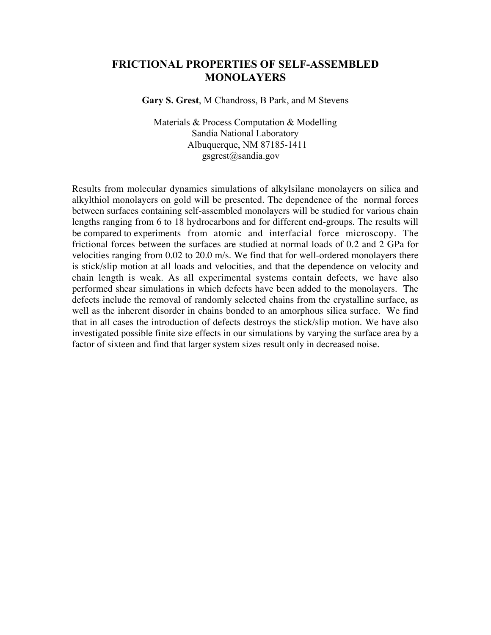### **FRICTIONAL PROPERTIES OF SELF-ASSEMBLED MONOLAYERS**

**Gary S. Grest**, M Chandross, B Park, and M Stevens

Materials & Process Computation & Modelling Sandia National Laboratory Albuquerque, NM 87185-1411 gsgrest@sandia.gov

Results from molecular dynamics simulations of alkylsilane monolayers on silica and alkylthiol monolayers on gold will be presented. The dependence of the normal forces between surfaces containing self-assembled monolayers will be studied for various chain lengths ranging from 6 to 18 hydrocarbons and for different end-groups. The results will be compared to experiments from atomic and interfacial force microscopy. The frictional forces between the surfaces are studied at normal loads of 0.2 and 2 GPa for velocities ranging from 0.02 to 20.0 m/s. We find that for well-ordered monolayers there is stick/slip motion at all loads and velocities, and that the dependence on velocity and chain length is weak. As all experimental systems contain defects, we have also performed shear simulations in which defects have been added to the monolayers. The defects include the removal of randomly selected chains from the crystalline surface, as well as the inherent disorder in chains bonded to an amorphous silica surface. We find that in all cases the introduction of defects destroys the stick/slip motion. We have also investigated possible finite size effects in our simulations by varying the surface area by a factor of sixteen and find that larger system sizes result only in decreased noise.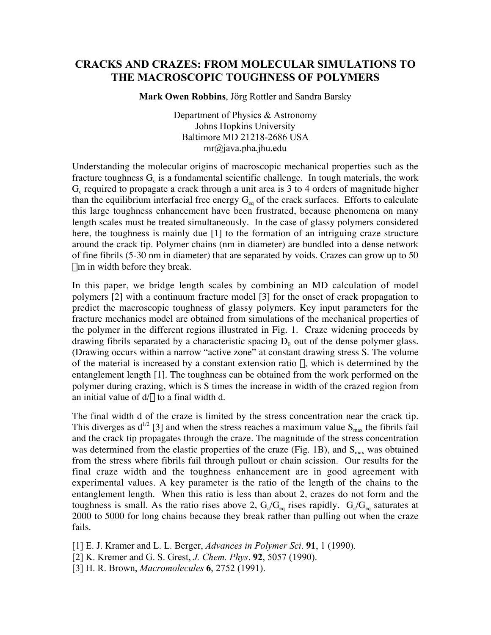## **CRACKS AND CRAZES: FROM MOLECULAR SIMULATIONS TO THE MACROSCOPIC TOUGHNESS OF POLYMERS**

**Mark Owen Robbins**, Jörg Rottler and Sandra Barsky

Department of Physics & Astronomy Johns Hopkins University Baltimore MD 21218-2686 USA mr@java.pha.jhu.edu

Understanding the molecular origins of macroscopic mechanical properties such as the fracture toughness  $G_c$  is a fundamental scientific challenge. In tough materials, the work  $G<sub>c</sub>$  required to propagate a crack through a unit area is 3 to 4 orders of magnitude higher than the equilibrium interfacial free energy  $G_{eq}$  of the crack surfaces. Efforts to calculate this large toughness enhancement have been frustrated, because phenomena on many length scales must be treated simultaneously. In the case of glassy polymers considered here, the toughness is mainly due [1] to the formation of an intriguing craze structure around the crack tip. Polymer chains (nm in diameter) are bundled into a dense network of fine fibrils (5-30 nm in diameter) that are separated by voids. Crazes can grow up to 50 mm in width before they break.

In this paper, we bridge length scales by combining an MD calculation of model polymers [2] with a continuum fracture model [3] for the onset of crack propagation to predict the macroscopic toughness of glassy polymers. Key input parameters for the fracture mechanics model are obtained from simulations of the mechanical properties of the polymer in the different regions illustrated in Fig. 1. Craze widening proceeds by drawing fibrils separated by a characteristic spacing  $D_0$  out of the dense polymer glass. (Drawing occurs within a narrow "active zone" at constant drawing stress S. The volume of the material is increased by a constant extension ratio  $\lambda$ , which is determined by the entanglement length [1]. The toughness can be obtained from the work performed on the polymer during crazing, which is S times the increase in width of the crazed region from an initial value of  $d/\lambda$  to a final width d.

The final width d of the craze is limited by the stress concentration near the crack tip. This diverges as  $d^{1/2}$  [3] and when the stress reaches a maximum value  $S_{\text{max}}$  the fibrils fail and the crack tip propagates through the craze. The magnitude of the stress concentration was determined from the elastic properties of the craze (Fig. 1B), and  $S<sub>max</sub>$  was obtained from the stress where fibrils fail through pullout or chain scission. Our results for the final craze width and the toughness enhancement are in good agreement with experimental values. A key parameter is the ratio of the length of the chains to the entanglement length. When this ratio is less than about 2, crazes do not form and the toughness is small. As the ratio rises above 2,  $G_c/G_{eq}$  rises rapidly.  $G_c/G_{eq}$  saturates at 2000 to 5000 for long chains because they break rather than pulling out when the craze fails.

[1] E. J. Kramer and L. L. Berger, *Advances in Polymer Sci*. **91**, 1 (1990).

[2] K. Kremer and G. S. Grest, *J. Chem. Phys*. **92**, 5057 (1990).

[3] H. R. Brown, *Macromolecules* **6**, 2752 (1991).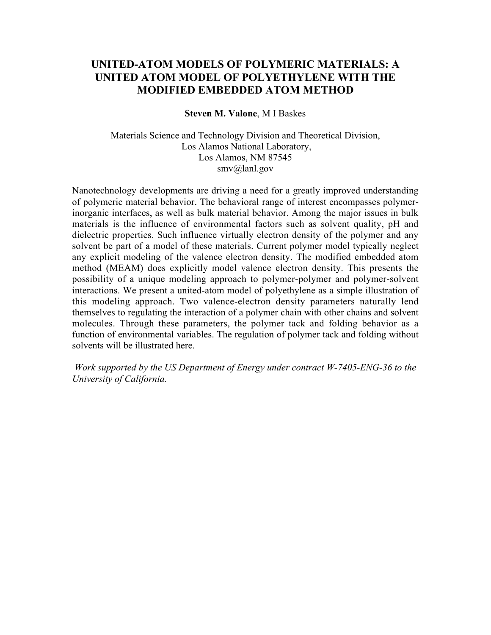# **UNITED-ATOM MODELS OF POLYMERIC MATERIALS: A UNITED ATOM MODEL OF POLYETHYLENE WITH THE MODIFIED EMBEDDED ATOM METHOD**

#### **Steven M. Valone**, M I Baskes

Materials Science and Technology Division and Theoretical Division, Los Alamos National Laboratory, Los Alamos, NM 87545 smv@lanl.gov

Nanotechnology developments are driving a need for a greatly improved understanding of polymeric material behavior. The behavioral range of interest encompasses polymerinorganic interfaces, as well as bulk material behavior. Among the major issues in bulk materials is the influence of environmental factors such as solvent quality, pH and dielectric properties. Such influence virtually electron density of the polymer and any solvent be part of a model of these materials. Current polymer model typically neglect any explicit modeling of the valence electron density. The modified embedded atom method (MEAM) does explicitly model valence electron density. This presents the possibility of a unique modeling approach to polymer-polymer and polymer-solvent interactions. We present a united-atom model of polyethylene as a simple illustration of this modeling approach. Two valence-electron density parameters naturally lend themselves to regulating the interaction of a polymer chain with other chains and solvent molecules. Through these parameters, the polymer tack and folding behavior as a function of environmental variables. The regulation of polymer tack and folding without solvents will be illustrated here.

 *Work supported by the US Department of Energy under contract W-7405-ENG-36 to the University of California.*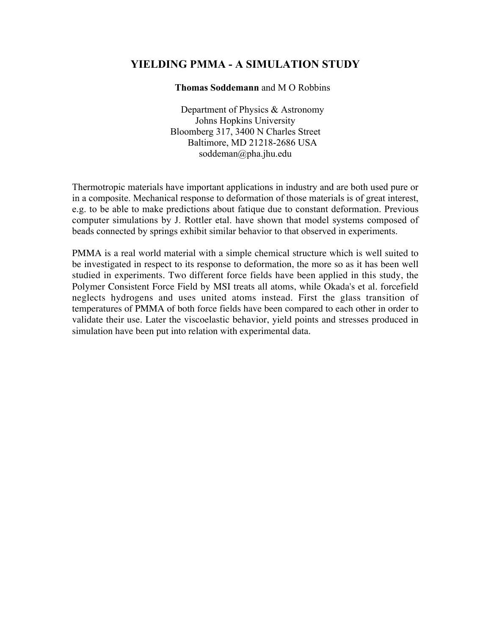# **YIELDING PMMA - A SIMULATION STUDY**

### **Thomas Soddemann** and M O Robbins

Department of Physics & Astronomy Johns Hopkins University Bloomberg 317, 3400 N Charles Street Baltimore, MD 21218-2686 USA soddeman@pha.jhu.edu

Thermotropic materials have important applications in industry and are both used pure or in a composite. Mechanical response to deformation of those materials is of great interest, e.g. to be able to make predictions about fatique due to constant deformation. Previous computer simulations by J. Rottler etal. have shown that model systems composed of beads connected by springs exhibit similar behavior to that observed in experiments.

PMMA is a real world material with a simple chemical structure which is well suited to be investigated in respect to its response to deformation, the more so as it has been well studied in experiments. Two different force fields have been applied in this study, the Polymer Consistent Force Field by MSI treats all atoms, while Okada's et al. forcefield neglects hydrogens and uses united atoms instead. First the glass transition of temperatures of PMMA of both force fields have been compared to each other in order to validate their use. Later the viscoelastic behavior, yield points and stresses produced in simulation have been put into relation with experimental data.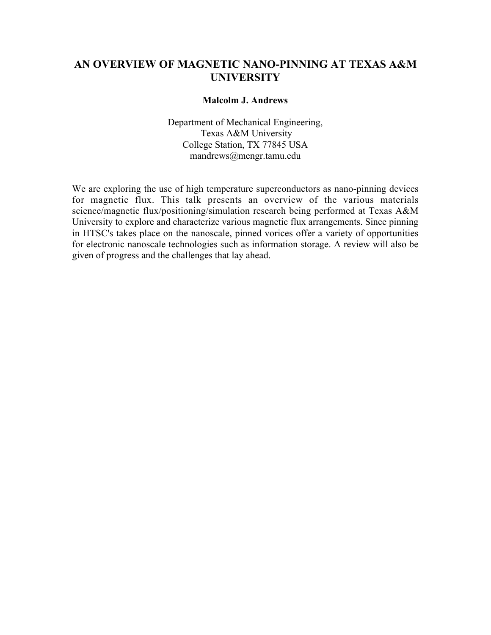# **AN OVERVIEW OF MAGNETIC NANO-PINNING AT TEXAS A&M UNIVERSITY**

### **Malcolm J. Andrews**

Department of Mechanical Engineering, Texas A&M University College Station, TX 77845 USA mandrews@mengr.tamu.edu

We are exploring the use of high temperature superconductors as nano-pinning devices for magnetic flux. This talk presents an overview of the various materials science/magnetic flux/positioning/simulation research being performed at Texas A&M University to explore and characterize various magnetic flux arrangements. Since pinning in HTSC's takes place on the nanoscale, pinned vorices offer a variety of opportunities for electronic nanoscale technologies such as information storage. A review will also be given of progress and the challenges that lay ahead.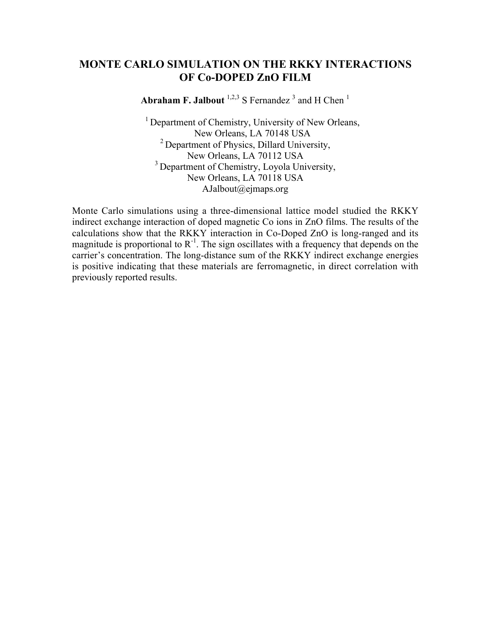## **MONTE CARLO SIMULATION ON THE RKKY INTERACTIONS OF Co-DOPED ZnO FILM**

**Abraham F. Jalbout**  $1,2,3$  S Fernandez  $^3$  and H Chen  $^1$ 

<sup>1</sup> Department of Chemistry, University of New Orleans, New Orleans, LA 70148 USA <sup>2</sup> Department of Physics, Dillard University, New Orleans, LA 70112 USA <sup>3</sup> Department of Chemistry, Loyola University, New Orleans, LA 70118 USA AJalbout@ejmaps.org

Monte Carlo simulations using a three-dimensional lattice model studied the RKKY indirect exchange interaction of doped magnetic Co ions in ZnO films. The results of the calculations show that the RKKY interaction in Co-Doped ZnO is long-ranged and its magnitude is proportional to  $R^{-1}$ . The sign oscillates with a frequency that depends on the carrier's concentration. The long-distance sum of the RKKY indirect exchange energies is positive indicating that these materials are ferromagnetic, in direct correlation with previously reported results.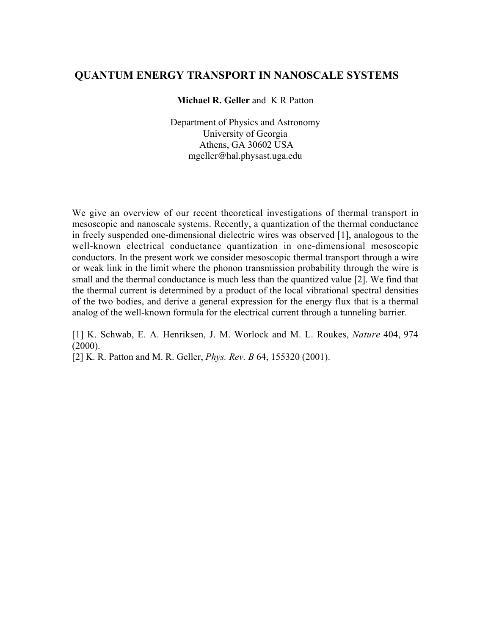## **QUANTUM ENERGY TRANSPORT IN NANOSCALE SYSTEMS**

**Michael R. Geller** and K R Patton

Department of Physics and Astronomy University of Georgia Athens, GA 30602 USA mgeller@hal.physast.uga.edu

We give an overview of our recent theoretical investigations of thermal transport in mesoscopic and nanoscale systems. Recently, a quantization of the thermal conductance in freely suspended one-dimensional dielectric wires was observed [1], analogous to the well-known electrical conductance quantization in one-dimensional mesoscopic conductors. In the present work we consider mesoscopic thermal transport through a wire or weak link in the limit where the phonon transmission probability through the wire is small and the thermal conductance is much less than the quantized value [2]. We find that the thermal current is determined by a product of the local vibrational spectral densities of the two bodies, and derive a general expression for the energy flux that is a thermal analog of the well-known formula for the electrical current through a tunneling barrier.

[1] K. Schwab, E. A. Henriksen, J. M. Worlock and M. L. Roukes, *Nature* 404, 974  $(2000)$ .

[2] K. R. Patton and M. R. Geller, *Phys. Rev. B* 64, 155320 (2001).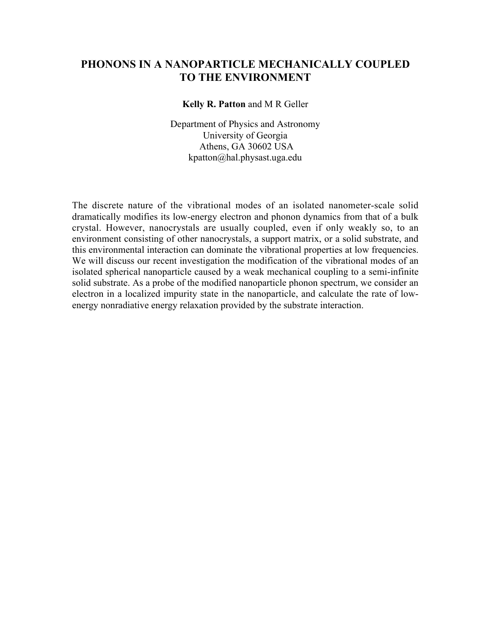## **PHONONS IN A NANOPARTICLE MECHANICALLY COUPLED TO THE ENVIRONMENT**

**Kelly R. Patton** and M R Geller

Department of Physics and Astronomy University of Georgia Athens, GA 30602 USA kpatton@hal.physast.uga.edu

The discrete nature of the vibrational modes of an isolated nanometer-scale solid dramatically modifies its low-energy electron and phonon dynamics from that of a bulk crystal. However, nanocrystals are usually coupled, even if only weakly so, to an environment consisting of other nanocrystals, a support matrix, or a solid substrate, and this environmental interaction can dominate the vibrational properties at low frequencies. We will discuss our recent investigation the modification of the vibrational modes of an isolated spherical nanoparticle caused by a weak mechanical coupling to a semi-infinite solid substrate. As a probe of the modified nanoparticle phonon spectrum, we consider an electron in a localized impurity state in the nanoparticle, and calculate the rate of lowenergy nonradiative energy relaxation provided by the substrate interaction.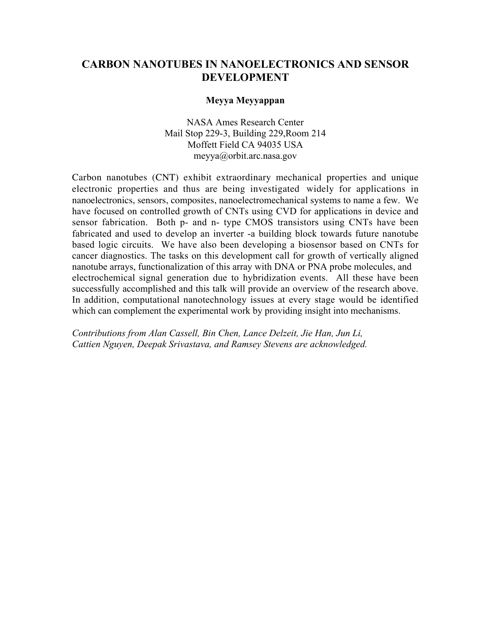## **CARBON NANOTUBES IN NANOELECTRONICS AND SENSOR DEVELOPMENT**

### **Meyya Meyyappan**

NASA Ames Research Center Mail Stop 229-3, Building 229,Room 214 Moffett Field CA 94035 USA meyya@orbit.arc.nasa.gov

Carbon nanotubes (CNT) exhibit extraordinary mechanical properties and unique electronic properties and thus are being investigated widely for applications in nanoelectronics, sensors, composites, nanoelectromechanical systems to name a few. We have focused on controlled growth of CNTs using CVD for applications in device and sensor fabrication. Both p- and n- type CMOS transistors using CNTs have been fabricated and used to develop an inverter -a building block towards future nanotube based logic circuits. We have also been developing a biosensor based on CNTs for cancer diagnostics. The tasks on this development call for growth of vertically aligned nanotube arrays, functionalization of this array with DNA or PNA probe molecules, and electrochemical signal generation due to hybridization events. All these have been successfully accomplished and this talk will provide an overview of the research above. In addition, computational nanotechnology issues at every stage would be identified which can complement the experimental work by providing insight into mechanisms.

*Contributions from Alan Cassell, Bin Chen, Lance Delzeit, Jie Han, Jun Li, Cattien Nguyen, Deepak Srivastava, and Ramsey Stevens are acknowledged.*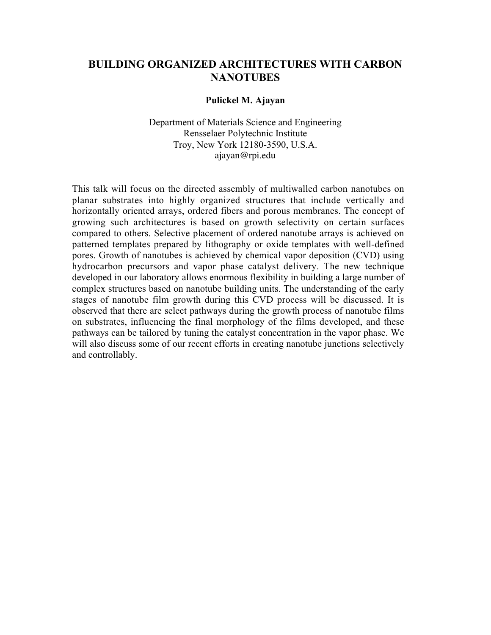## **BUILDING ORGANIZED ARCHITECTURES WITH CARBON NANOTUBES**

#### **Pulickel M. Ajayan**

Department of Materials Science and Engineering Rensselaer Polytechnic Institute Troy, New York 12180-3590, U.S.A. ajayan@rpi.edu

This talk will focus on the directed assembly of multiwalled carbon nanotubes on planar substrates into highly organized structures that include vertically and horizontally oriented arrays, ordered fibers and porous membranes. The concept of growing such architectures is based on growth selectivity on certain surfaces compared to others. Selective placement of ordered nanotube arrays is achieved on patterned templates prepared by lithography or oxide templates with well-defined pores. Growth of nanotubes is achieved by chemical vapor deposition (CVD) using hydrocarbon precursors and vapor phase catalyst delivery. The new technique developed in our laboratory allows enormous flexibility in building a large number of complex structures based on nanotube building units. The understanding of the early stages of nanotube film growth during this CVD process will be discussed. It is observed that there are select pathways during the growth process of nanotube films on substrates, influencing the final morphology of the films developed, and these pathways can be tailored by tuning the catalyst concentration in the vapor phase. We will also discuss some of our recent efforts in creating nanotube junctions selectively and controllably.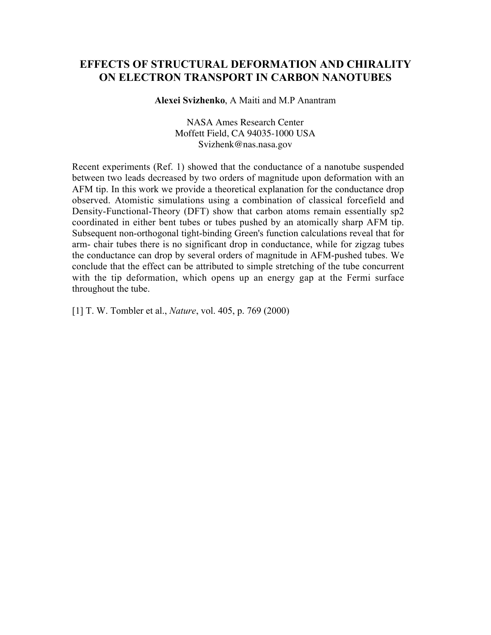## **EFFECTS OF STRUCTURAL DEFORMATION AND CHIRALITY ON ELECTRON TRANSPORT IN CARBON NANOTUBES**

**Alexei Svizhenko**, A Maiti and M.P Anantram

NASA Ames Research Center Moffett Field, CA 94035-1000 USA Svizhenk@nas.nasa.gov

Recent experiments (Ref. 1) showed that the conductance of a nanotube suspended between two leads decreased by two orders of magnitude upon deformation with an AFM tip. In this work we provide a theoretical explanation for the conductance drop observed. Atomistic simulations using a combination of classical forcefield and Density-Functional-Theory (DFT) show that carbon atoms remain essentially sp2 coordinated in either bent tubes or tubes pushed by an atomically sharp AFM tip. Subsequent non-orthogonal tight-binding Green's function calculations reveal that for arm- chair tubes there is no significant drop in conductance, while for zigzag tubes the conductance can drop by several orders of magnitude in AFM-pushed tubes. We conclude that the effect can be attributed to simple stretching of the tube concurrent with the tip deformation, which opens up an energy gap at the Fermi surface throughout the tube.

[1] T. W. Tombler et al., *Nature*, vol. 405, p. 769 (2000)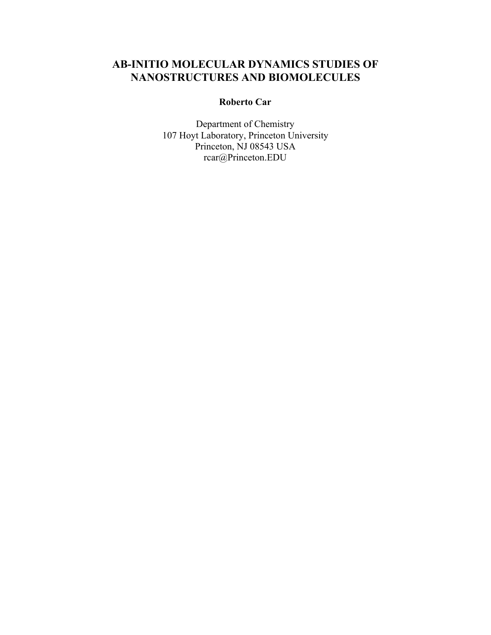# **AB-INITIO MOLECULAR DYNAMICS STUDIES OF NANOSTRUCTURES AND BIOMOLECULES**

### **Roberto Car**

Department of Chemistry 107 Hoyt Laboratory, Princeton University Princeton, NJ 08543 USA rcar@Princeton.EDU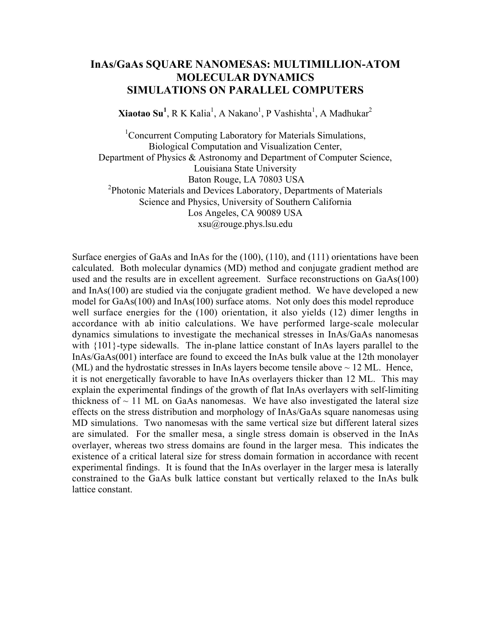## **InAs/GaAs SQUARE NANOMESAS: MULTIMILLION-ATOM MOLECULAR DYNAMICS SIMULATIONS ON PARALLEL COMPUTERS**

 $\mathbf{Niaotao\, Su}^{1},$  R K Kalia<sup>1</sup>, A Nakano<sup>1</sup>, P Vashishta<sup>1</sup>, A Madhukar<sup>2</sup>

<sup>1</sup>Concurrent Computing Laboratory for Materials Simulations, Biological Computation and Visualization Center, Department of Physics & Astronomy and Department of Computer Science, Louisiana State University Baton Rouge, LA 70803 USA <sup>2</sup> Photonic Materials and Devices Laboratory, Departments of Materials Science and Physics, University of Southern California Los Angeles, CA 90089 USA xsu@rouge.phys.lsu.edu

Surface energies of GaAs and InAs for the (100), (110), and (111) orientations have been calculated. Both molecular dynamics (MD) method and conjugate gradient method are used and the results are in excellent agreement. Surface reconstructions on GaAs(100) and InAs(100) are studied via the conjugate gradient method. We have developed a new model for GaAs(100) and InAs(100) surface atoms. Not only does this model reproduce well surface energies for the (100) orientation, it also yields (12) dimer lengths in accordance with ab initio calculations. We have performed large-scale molecular dynamics simulations to investigate the mechanical stresses in InAs/GaAs nanomesas with  ${101}$ -type sidewalls. The in-plane lattice constant of InAs layers parallel to the InAs/GaAs(001) interface are found to exceed the InAs bulk value at the 12th monolayer (ML) and the hydrostatic stresses in InAs layers become tensile above  $\sim$  12 ML. Hence, it is not energetically favorable to have InAs overlayers thicker than 12 ML. This may explain the experimental findings of the growth of flat InAs overlayers with self-limiting thickness of  $\sim$  11 ML on GaAs nanomesas. We have also investigated the lateral size effects on the stress distribution and morphology of InAs/GaAs square nanomesas using MD simulations. Two nanomesas with the same vertical size but different lateral sizes are simulated. For the smaller mesa, a single stress domain is observed in the InAs overlayer, whereas two stress domains are found in the larger mesa. This indicates the existence of a critical lateral size for stress domain formation in accordance with recent experimental findings. It is found that the InAs overlayer in the larger mesa is laterally constrained to the GaAs bulk lattice constant but vertically relaxed to the InAs bulk lattice constant.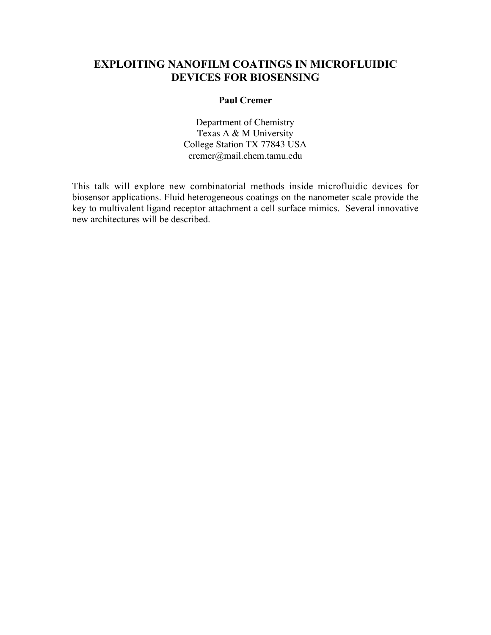# **EXPLOITING NANOFILM COATINGS IN MICROFLUIDIC DEVICES FOR BIOSENSING**

### **Paul Cremer**

Department of Chemistry Texas A & M University College Station TX 77843 USA cremer@mail.chem.tamu.edu

This talk will explore new combinatorial methods inside microfluidic devices for biosensor applications. Fluid heterogeneous coatings on the nanometer scale provide the key to multivalent ligand receptor attachment a cell surface mimics. Several innovative new architectures will be described.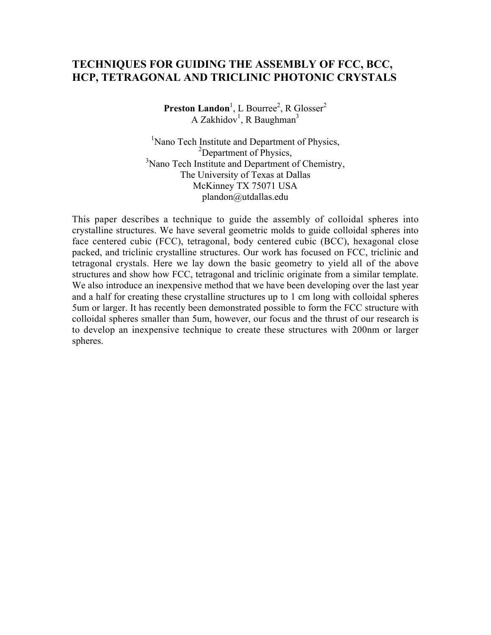# **TECHNIQUES FOR GUIDING THE ASSEMBLY OF FCC, BCC, HCP, TETRAGONAL AND TRICLINIC PHOTONIC CRYSTALS**

**Preston Landon**<sup>1</sup>, L Bourree<sup>2</sup>, R Glosser<sup>2</sup> A Zakhidov<sup>1</sup>, R Baughman<sup>3</sup>

<sup>1</sup>Nano Tech Institute and Department of Physics,  ${}^{2}$ Department of Physics, <sup>3</sup>Nano Tech Institute and Department of Chemistry, The University of Texas at Dallas McKinney TX 75071 USA plandon@utdallas.edu

This paper describes a technique to guide the assembly of colloidal spheres into crystalline structures. We have several geometric molds to guide colloidal spheres into face centered cubic (FCC), tetragonal, body centered cubic (BCC), hexagonal close packed, and triclinic crystalline structures. Our work has focused on FCC, triclinic and tetragonal crystals. Here we lay down the basic geometry to yield all of the above structures and show how FCC, tetragonal and triclinic originate from a similar template. We also introduce an inexpensive method that we have been developing over the last year and a half for creating these crystalline structures up to 1 cm long with colloidal spheres 5um or larger. It has recently been demonstrated possible to form the FCC structure with colloidal spheres smaller than 5um, however, our focus and the thrust of our research is to develop an inexpensive technique to create these structures with 200nm or larger spheres.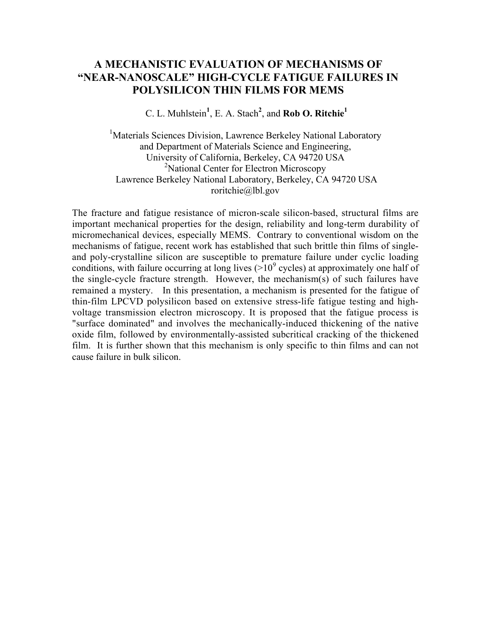## **A MECHANISTIC EVALUATION OF MECHANISMS OF "NEAR-NANOSCALE" HIGH-CYCLE FATIGUE FAILURES IN POLYSILICON THIN FILMS FOR MEMS**

C. L. Muhlstein**<sup>1</sup>** , E. A. Stach**<sup>2</sup>** , and **Rob O. Ritchie<sup>1</sup>**

<sup>1</sup>Materials Sciences Division, Lawrence Berkeley National Laboratory and Department of Materials Science and Engineering, University of California, Berkeley, CA 94720 USA <sup>2</sup>National Center for Electron Microscopy Lawrence Berkeley National Laboratory, Berkeley, CA 94720 USA roritchie@lbl.gov

The fracture and fatigue resistance of micron-scale silicon-based, structural films are important mechanical properties for the design, reliability and long-term durability of micromechanical devices, especially MEMS. Contrary to conventional wisdom on the mechanisms of fatigue, recent work has established that such brittle thin films of singleand poly-crystalline silicon are susceptible to premature failure under cyclic loading conditions, with failure occurring at long lives  $(>10^9$  cycles) at approximately one half of the single-cycle fracture strength. However, the mechanism(s) of such failures have remained a mystery. In this presentation, a mechanism is presented for the fatigue of thin-film LPCVD polysilicon based on extensive stress-life fatigue testing and highvoltage transmission electron microscopy. It is proposed that the fatigue process is "surface dominated" and involves the mechanically-induced thickening of the native oxide film, followed by environmentally-assisted subcritical cracking of the thickened film. It is further shown that this mechanism is only specific to thin films and can not cause failure in bulk silicon.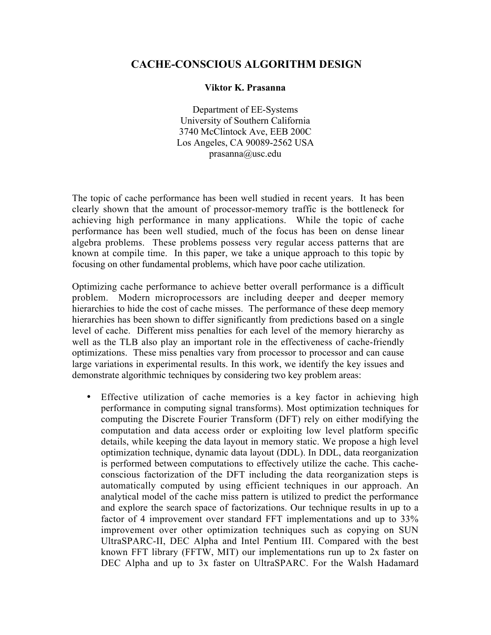### **CACHE-CONSCIOUS ALGORITHM DESIGN**

#### **Viktor K. Prasanna**

Department of EE-Systems University of Southern California 3740 McClintock Ave, EEB 200C Los Angeles, CA 90089-2562 USA prasanna@usc.edu

The topic of cache performance has been well studied in recent years. It has been clearly shown that the amount of processor-memory traffic is the bottleneck for achieving high performance in many applications. While the topic of cache performance has been well studied, much of the focus has been on dense linear algebra problems. These problems possess very regular access patterns that are known at compile time. In this paper, we take a unique approach to this topic by focusing on other fundamental problems, which have poor cache utilization.

Optimizing cache performance to achieve better overall performance is a difficult problem. Modern microprocessors are including deeper and deeper memory hierarchies to hide the cost of cache misses. The performance of these deep memory hierarchies has been shown to differ significantly from predictions based on a single level of cache. Different miss penalties for each level of the memory hierarchy as well as the TLB also play an important role in the effectiveness of cache-friendly optimizations. These miss penalties vary from processor to processor and can cause large variations in experimental results. In this work, we identify the key issues and demonstrate algorithmic techniques by considering two key problem areas:

Effective utilization of cache memories is a key factor in achieving high performance in computing signal transforms). Most optimization techniques for computing the Discrete Fourier Transform (DFT) rely on either modifying the computation and data access order or exploiting low level platform specific details, while keeping the data layout in memory static. We propose a high level optimization technique, dynamic data layout (DDL). In DDL, data reorganization is performed between computations to effectively utilize the cache. This cacheconscious factorization of the DFT including the data reorganization steps is automatically computed by using efficient techniques in our approach. An analytical model of the cache miss pattern is utilized to predict the performance and explore the search space of factorizations. Our technique results in up to a factor of 4 improvement over standard FFT implementations and up to 33% improvement over other optimization techniques such as copying on SUN UltraSPARC-II, DEC Alpha and Intel Pentium III. Compared with the best known FFT library (FFTW, MIT) our implementations run up to 2x faster on DEC Alpha and up to 3x faster on UltraSPARC. For the Walsh Hadamard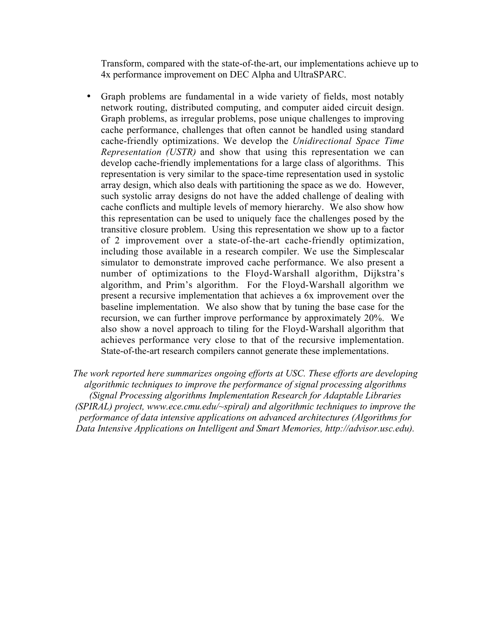Transform, compared with the state-of-the-art, our implementations achieve up to 4x performance improvement on DEC Alpha and UltraSPARC.

Graph problems are fundamental in a wide variety of fields, most notably network routing, distributed computing, and computer aided circuit design. Graph problems, as irregular problems, pose unique challenges to improving cache performance, challenges that often cannot be handled using standard cache-friendly optimizations. We develop the *Unidirectional Space Time Representation (USTR)* and show that using this representation we can develop cache-friendly implementations for a large class of algorithms. This representation is very similar to the space-time representation used in systolic array design, which also deals with partitioning the space as we do. However, such systolic array designs do not have the added challenge of dealing with cache conflicts and multiple levels of memory hierarchy. We also show how this representation can be used to uniquely face the challenges posed by the transitive closure problem. Using this representation we show up to a factor of 2 improvement over a state-of-the-art cache-friendly optimization, including those available in a research compiler. We use the Simplescalar simulator to demonstrate improved cache performance. We also present a number of optimizations to the Floyd-Warshall algorithm, Dijkstra's algorithm, and Prim's algorithm. For the Floyd-Warshall algorithm we present a recursive implementation that achieves a 6x improvement over the baseline implementation. We also show that by tuning the base case for the recursion, we can further improve performance by approximately 20%. We also show a novel approach to tiling for the Floyd-Warshall algorithm that achieves performance very close to that of the recursive implementation. State-of-the-art research compilers cannot generate these implementations.

*The work reported here summarizes ongoing efforts at USC. These efforts are developing algorithmic techniques to improve the performance of signal processing algorithms (Signal Processing algorithms Implementation Research for Adaptable Libraries (SPIRAL) project, www.ece.cmu.edu/~spiral) and algorithmic techniques to improve the performance of data intensive applications on advanced architectures (Algorithms for Data Intensive Applications on Intelligent and Smart Memories, http://advisor.usc.edu).*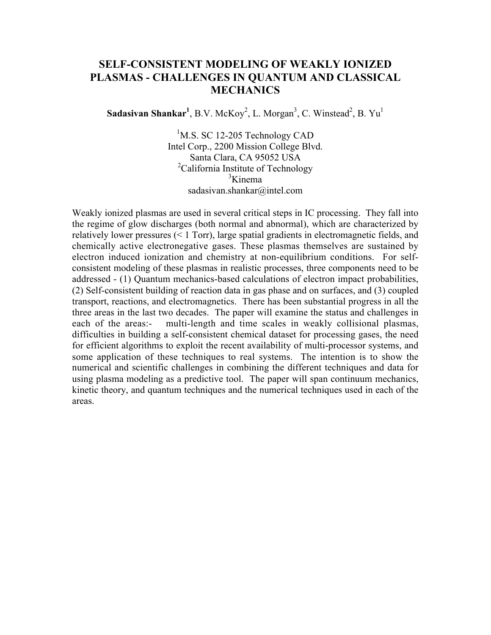# **SELF-CONSISTENT MODELING OF WEAKLY IONIZED PLASMAS - CHALLENGES IN QUANTUM AND CLASSICAL MECHANICS**

Sadasivan Shankar<sup>1</sup>, B.V. McKoy<sup>2</sup>, L. Morgan<sup>3</sup>, C. Winstead<sup>2</sup>, B. Yu<sup>1</sup>

<sup>1</sup>M.S. SC 12-205 Technology CAD Intel Corp., 2200 Mission College Blvd. Santa Clara, CA 95052 USA <sup>2</sup>California Institute of Technology <sup>3</sup>Kinema sadasivan.shankar@intel.com

Weakly ionized plasmas are used in several critical steps in IC processing. They fall into the regime of glow discharges (both normal and abnormal), which are characterized by relatively lower pressures (< 1 Torr), large spatial gradients in electromagnetic fields, and chemically active electronegative gases. These plasmas themselves are sustained by electron induced ionization and chemistry at non-equilibrium conditions. For selfconsistent modeling of these plasmas in realistic processes, three components need to be addressed - (1) Quantum mechanics-based calculations of electron impact probabilities, (2) Self-consistent building of reaction data in gas phase and on surfaces, and (3) coupled transport, reactions, and electromagnetics. There has been substantial progress in all the three areas in the last two decades. The paper will examine the status and challenges in each of the areas:- multi-length and time scales in weakly collisional plasmas, difficulties in building a self-consistent chemical dataset for processing gases, the need for efficient algorithms to exploit the recent availability of multi-processor systems, and some application of these techniques to real systems. The intention is to show the numerical and scientific challenges in combining the different techniques and data for using plasma modeling as a predictive tool. The paper will span continuum mechanics, kinetic theory, and quantum techniques and the numerical techniques used in each of the areas.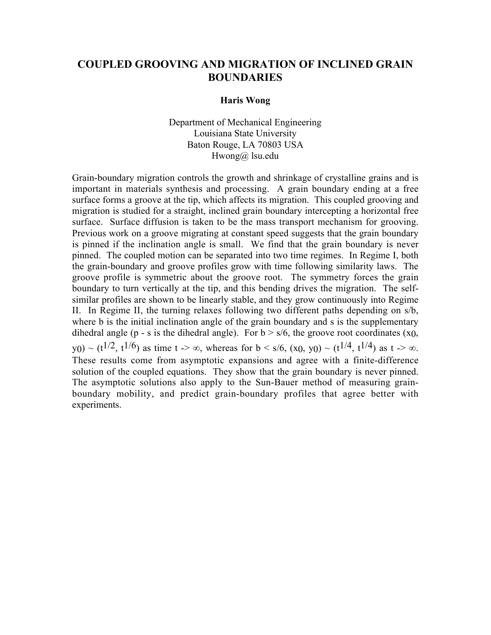## **COUPLED GROOVING AND MIGRATION OF INCLINED GRAIN BOUNDARIES**

#### **Haris Wong**

Department of Mechanical Engineering Louisiana State University Baton Rouge, LA 70803 USA Hwong@ lsu.edu

Grain-boundary migration controls the growth and shrinkage of crystalline grains and is important in materials synthesis and processing. A grain boundary ending at a free surface forms a groove at the tip, which affects its migration. This coupled grooving and migration is studied for a straight, inclined grain boundary intercepting a horizontal free surface. Surface diffusion is taken to be the mass transport mechanism for grooving. Previous work on a groove migrating at constant speed suggests that the grain boundary is pinned if the inclination angle is small. We find that the grain boundary is never pinned. The coupled motion can be separated into two time regimes. In Regime I, both the grain-boundary and groove profiles grow with time following similarity laws. The groove profile is symmetric about the groove root. The symmetry forces the grain boundary to turn vertically at the tip, and this bending drives the migration. The selfsimilar profiles are shown to be linearly stable, and they grow continuously into Regime II. In Regime II, the turning relaxes following two different paths depending on s/b, where b is the initial inclination angle of the grain boundary and s is the supplementary dihedral angle (p - s is the dihedral angle). For  $b > s/6$ , the groove root coordinates (x0, y<sub>0</sub>) ~ (t<sup>1/2</sup>, t<sup>1/6</sup>) as time t -> ∞, whereas for b < s/6, (x<sub>0</sub>, y<sub>0</sub>) ~ (t<sup>1/4</sup>, t<sup>1/4</sup>) as t -> ∞. These results come from asymptotic expansions and agree with a finite-difference solution of the coupled equations. They show that the grain boundary is never pinned. The asymptotic solutions also apply to the Sun-Bauer method of measuring grainboundary mobility, and predict grain-boundary profiles that agree better with experiments.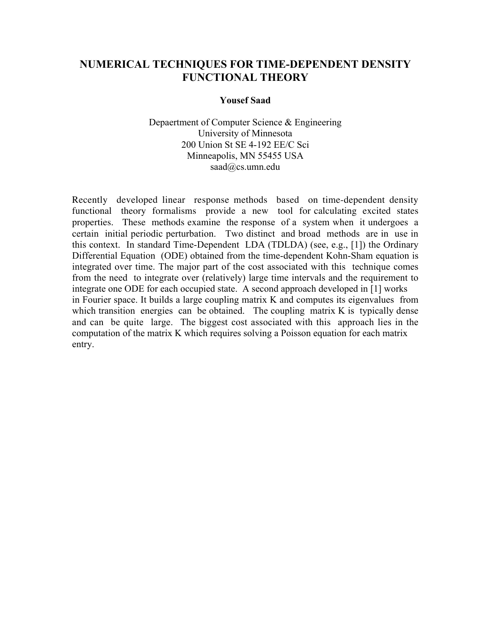## **NUMERICAL TECHNIQUES FOR TIME-DEPENDENT DENSITY FUNCTIONAL THEORY**

### **Yousef Saad**

Depaertment of Computer Science & Engineering University of Minnesota 200 Union St SE 4-192 EE/C Sci Minneapolis, MN 55455 USA saad@cs.umn.edu

Recently developed linear response methods based on time-dependent density functional theory formalisms provide a new tool for calculating excited states properties. These methods examine the response of a system when it undergoes a certain initial periodic perturbation. Two distinct and broad methods are in use in this context. In standard Time-Dependent LDA (TDLDA) (see, e.g., [1]) the Ordinary Differential Equation (ODE) obtained from the time-dependent Kohn-Sham equation is integrated over time. The major part of the cost associated with this technique comes from the need to integrate over (relatively) large time intervals and the requirement to integrate one ODE for each occupied state. A second approach developed in [1] works in Fourier space. It builds a large coupling matrix K and computes its eigenvalues from which transition energies can be obtained. The coupling matrix K is typically dense and can be quite large. The biggest cost associated with this approach lies in the computation of the matrix K which requires solving a Poisson equation for each matrix entry.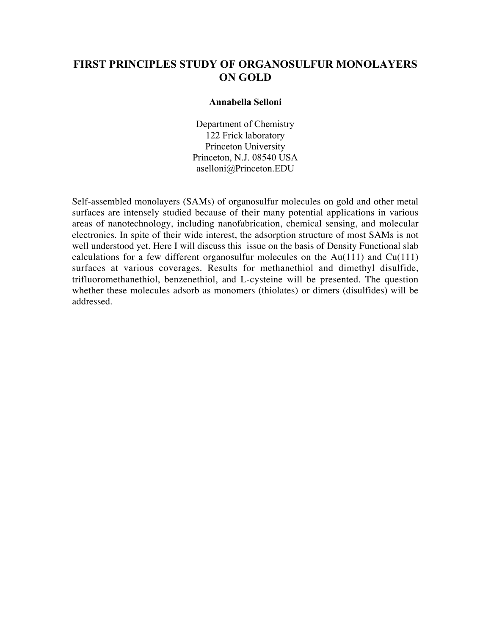## **FIRST PRINCIPLES STUDY OF ORGANOSULFUR MONOLAYERS ON GOLD**

#### **Annabella Selloni**

Department of Chemistry 122 Frick laboratory Princeton University Princeton, N.J. 08540 USA aselloni@Princeton.EDU

Self-assembled monolayers (SAMs) of organosulfur molecules on gold and other metal surfaces are intensely studied because of their many potential applications in various areas of nanotechnology, including nanofabrication, chemical sensing, and molecular electronics. In spite of their wide interest, the adsorption structure of most SAMs is not well understood yet. Here I will discuss this issue on the basis of Density Functional slab calculations for a few different organosulfur molecules on the  $Au(111)$  and  $Cu(111)$ surfaces at various coverages. Results for methanethiol and dimethyl disulfide, trifluoromethanethiol, benzenethiol, and L-cysteine will be presented. The question whether these molecules adsorb as monomers (thiolates) or dimers (disulfides) will be addressed.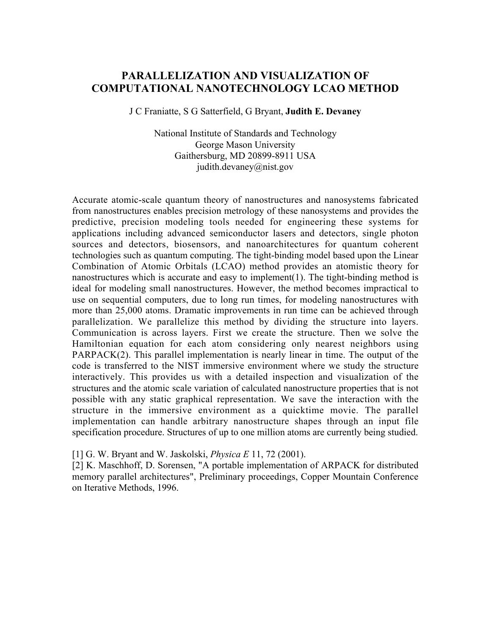## **PARALLELIZATION AND VISUALIZATION OF COMPUTATIONAL NANOTECHNOLOGY LCAO METHOD**

J C Franiatte, S G Satterfield, G Bryant, **Judith E. Devaney**

National Institute of Standards and Technology George Mason University Gaithersburg, MD 20899-8911 USA judith.devaney@nist.gov

Accurate atomic-scale quantum theory of nanostructures and nanosystems fabricated from nanostructures enables precision metrology of these nanosystems and provides the predictive, precision modeling tools needed for engineering these systems for applications including advanced semiconductor lasers and detectors, single photon sources and detectors, biosensors, and nanoarchitectures for quantum coherent technologies such as quantum computing. The tight-binding model based upon the Linear Combination of Atomic Orbitals (LCAO) method provides an atomistic theory for nanostructures which is accurate and easy to implement(1). The tight-binding method is ideal for modeling small nanostructures. However, the method becomes impractical to use on sequential computers, due to long run times, for modeling nanostructures with more than 25,000 atoms. Dramatic improvements in run time can be achieved through parallelization. We parallelize this method by dividing the structure into layers. Communication is across layers. First we create the structure. Then we solve the Hamiltonian equation for each atom considering only nearest neighbors using PARPACK(2). This parallel implementation is nearly linear in time. The output of the code is transferred to the NIST immersive environment where we study the structure interactively. This provides us with a detailed inspection and visualization of the structures and the atomic scale variation of calculated nanostructure properties that is not possible with any static graphical representation. We save the interaction with the structure in the immersive environment as a quicktime movie. The parallel implementation can handle arbitrary nanostructure shapes through an input file specification procedure. Structures of up to one million atoms are currently being studied.

[1] G. W. Bryant and W. Jaskolski, *Physica E* 11, 72 (2001).

[2] K. Maschhoff, D. Sorensen, "A portable implementation of ARPACK for distributed memory parallel architectures", Preliminary proceedings, Copper Mountain Conference on Iterative Methods, 1996.